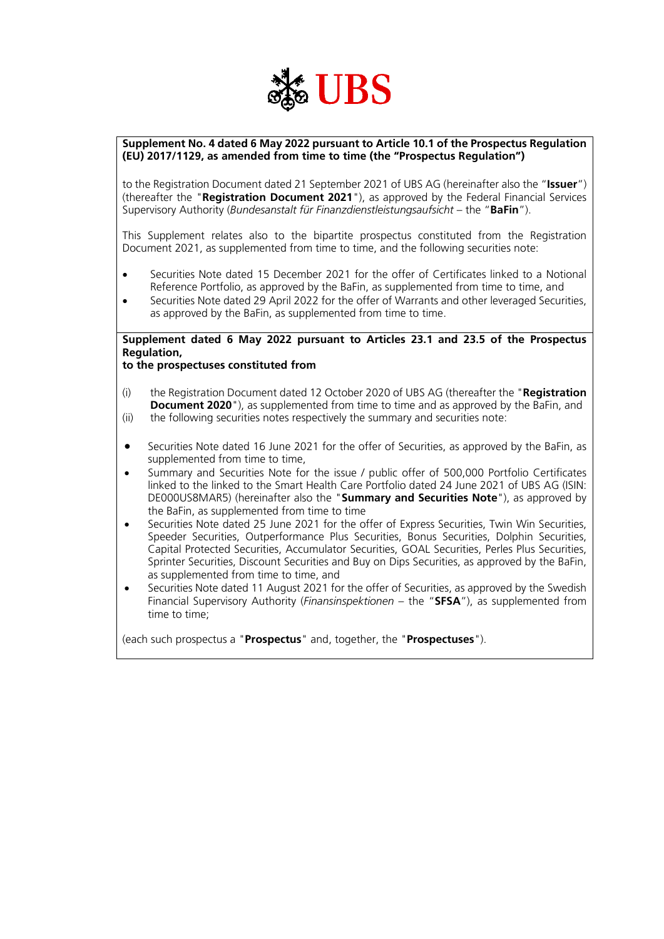

### **Supplement No. 4 dated 6 May 2022 pursuant to Article 10.1 of the Prospectus Regulation (EU) 2017/1129, as amended from time to time (the "Prospectus Regulation")**

to the Registration Document dated 21 September 2021 of UBS AG (hereinafter also the "**Issuer**") (thereafter the "**Registration Document 2021**"), as approved by the Federal Financial Services Supervisory Authority (*Bundesanstalt für Finanzdienstleistungsaufsicht* – the "**BaFin**").

This Supplement relates also to the bipartite prospectus constituted from the Registration Document 2021, as supplemented from time to time, and the following securities note:

- Securities Note dated 15 December 2021 for the offer of Certificates linked to a Notional Reference Portfolio, as approved by the BaFin, as supplemented from time to time, and
- Securities Note dated 29 April 2022 for the offer of Warrants and other leveraged Securities, as approved by the BaFin, as supplemented from time to time.

# **Supplement dated 6 May 2022 pursuant to Articles 23.1 and 23.5 of the Prospectus Regulation,**

## **to the prospectuses constituted from**

- (i) the Registration Document dated 12 October 2020 of UBS AG (thereafter the "**Registration Document 2020**"), as supplemented from time to time and as approved by the BaFin, and
- (ii) the following securities notes respectively the summary and securities note:
- Securities Note dated 16 June 2021 for the offer of Securities, as approved by the BaFin, as supplemented from time to time,
- Summary and Securities Note for the issue / public offer of 500,000 Portfolio Certificates linked to the linked to the Smart Health Care Portfolio dated 24 June 2021 of UBS AG (ISIN: DE000US8MAR5) (hereinafter also the "**Summary and Securities Note**"), as approved by the BaFin, as supplemented from time to time
- Securities Note dated 25 June 2021 for the offer of Express Securities, Twin Win Securities, Speeder Securities, Outperformance Plus Securities, Bonus Securities, Dolphin Securities, Capital Protected Securities, Accumulator Securities, GOAL Securities, Perles Plus Securities, Sprinter Securities, Discount Securities and Buy on Dips Securities, as approved by the BaFin, as supplemented from time to time, and
- Securities Note dated 11 August 2021 for the offer of Securities, as approved by the Swedish Financial Supervisory Authority (*Finansinspektionen* – the "**SFSA**"), as supplemented from time to time;

(each such prospectus a "**Prospectus**" and, together, the "**Prospectuses**").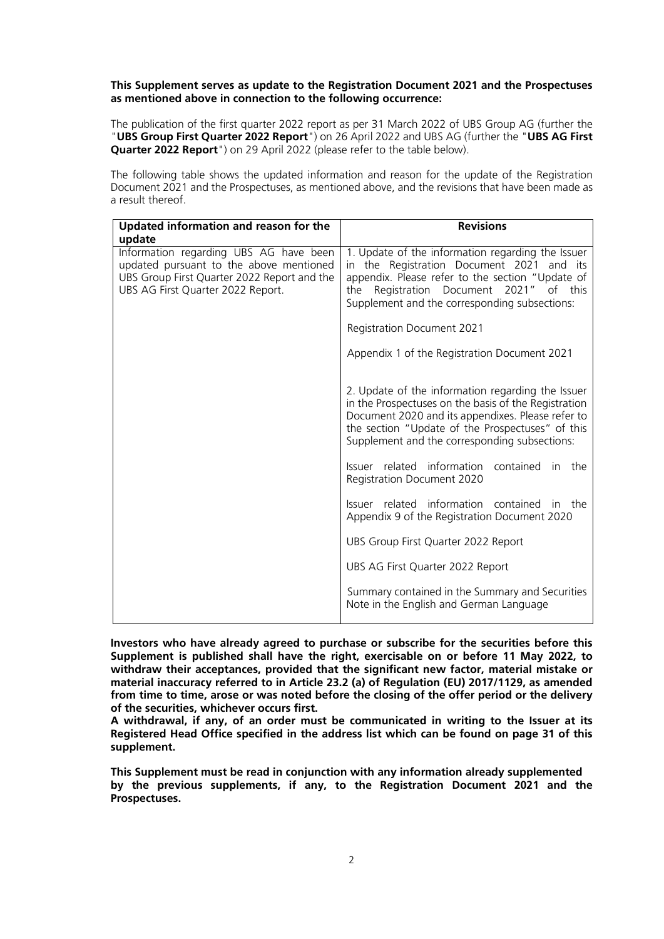#### **This Supplement serves as update to the Registration Document 2021 and the Prospectuses as mentioned above in connection to the following [occurrence:](http://dict.leo.org/ende?lp=ende&p=_xpAA&search=occurrence&trestr=0x8001)**

The publication of the first quarter 2022 report as per 31 March 2022 of UBS Group AG (further the "**UBS Group First Quarter 2022 Report**") on 26 April 2022 and UBS AG (further the "**UBS AG First Quarter 2022 Report**") on 29 April 2022 (please refer to the table below).

The following table shows the updated information and reason for the update of the Registration Document 2021 and the Prospectuses, as mentioned above, and the revisions that have been made as a result thereof.

| Updated information and reason for the<br>update                                                                                                                      | <b>Revisions</b>                                                                                                                                                                                                                                                    |
|-----------------------------------------------------------------------------------------------------------------------------------------------------------------------|---------------------------------------------------------------------------------------------------------------------------------------------------------------------------------------------------------------------------------------------------------------------|
| Information regarding UBS AG have been<br>updated pursuant to the above mentioned<br>UBS Group First Quarter 2022 Report and the<br>UBS AG First Quarter 2022 Report. | 1. Update of the information regarding the Issuer<br>in the Registration Document 2021 and its<br>appendix. Please refer to the section "Update of<br>Registration Document 2021" of this<br>the<br>Supplement and the corresponding subsections:                   |
|                                                                                                                                                                       | <b>Registration Document 2021</b>                                                                                                                                                                                                                                   |
|                                                                                                                                                                       | Appendix 1 of the Registration Document 2021                                                                                                                                                                                                                        |
|                                                                                                                                                                       | 2. Update of the information regarding the Issuer<br>in the Prospectuses on the basis of the Registration<br>Document 2020 and its appendixes. Please refer to<br>the section "Update of the Prospectuses" of this<br>Supplement and the corresponding subsections: |
|                                                                                                                                                                       | Issuer related information contained in the<br>Registration Document 2020                                                                                                                                                                                           |
|                                                                                                                                                                       | Issuer related information contained in the<br>Appendix 9 of the Registration Document 2020                                                                                                                                                                         |
|                                                                                                                                                                       | UBS Group First Quarter 2022 Report                                                                                                                                                                                                                                 |
|                                                                                                                                                                       | UBS AG First Quarter 2022 Report                                                                                                                                                                                                                                    |
|                                                                                                                                                                       | Summary contained in the Summary and Securities<br>Note in the English and German Language                                                                                                                                                                          |

**Investors who have already agreed to purchase or subscribe for the securities before this Supplement is published shall have the right, exercisable on or before 11 May 2022, to withdraw their acceptances, provided that the significant new factor, material mistake or material inaccuracy referred to in Article 23.2 (a) of Regulation (EU) 2017/1129, as amended from time to time, arose or was noted before the closing of the offer period or the delivery of the securities, whichever occurs first.**

**A withdrawal, if any, of an order must be communicated in writing to the Issuer at its Registered Head Office specified in the address list which can be found on page [31](#page-30-0) of this supplement.**

**This Supplement must be read in conjunction with any information already supplemented by the previous supplements, if any, to the Registration Document 2021 and the Prospectuses.**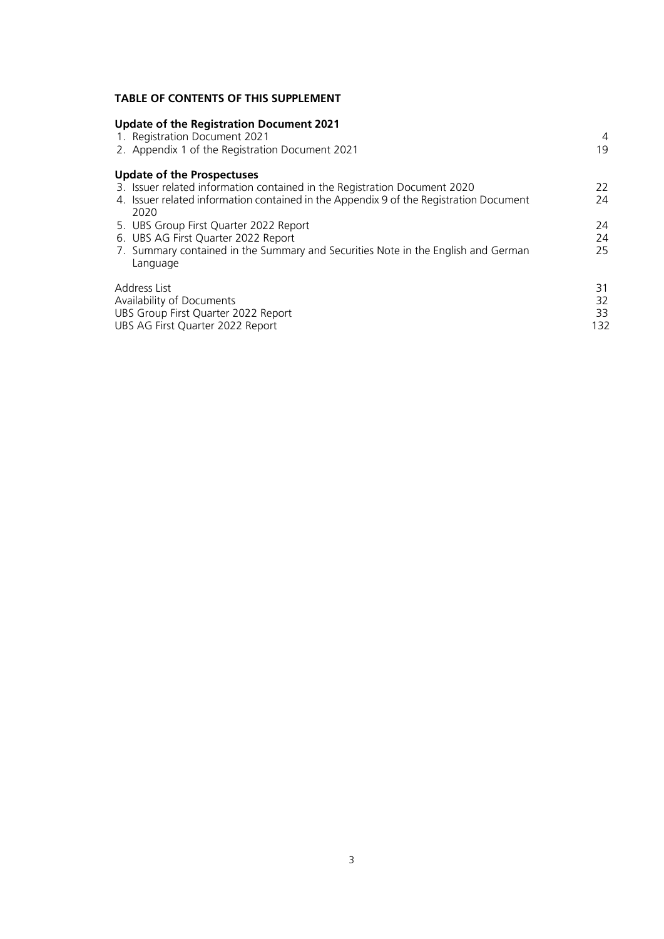## **TABLE OF CONTENTS OF THIS SUPPLEMENT**

| <b>Update of the Registration Document 2021</b><br>1. Registration Document 2021<br>2. Appendix 1 of the Registration Document 2021                                                                              | 4<br>19               |
|------------------------------------------------------------------------------------------------------------------------------------------------------------------------------------------------------------------|-----------------------|
| <b>Update of the Prospectuses</b><br>3. Issuer related information contained in the Registration Document 2020<br>4. Issuer related information contained in the Appendix 9 of the Registration Document<br>2020 | 22<br>24              |
| 5. UBS Group First Quarter 2022 Report<br>6. UBS AG First Quarter 2022 Report<br>7. Summary contained in the Summary and Securities Note in the English and German<br>Language                                   | 24<br>24<br>25        |
| Address List<br>Availability of Documents<br>UBS Group First Quarter 2022 Report<br>UBS AG First Quarter 2022 Report                                                                                             | 31<br>32<br>33<br>132 |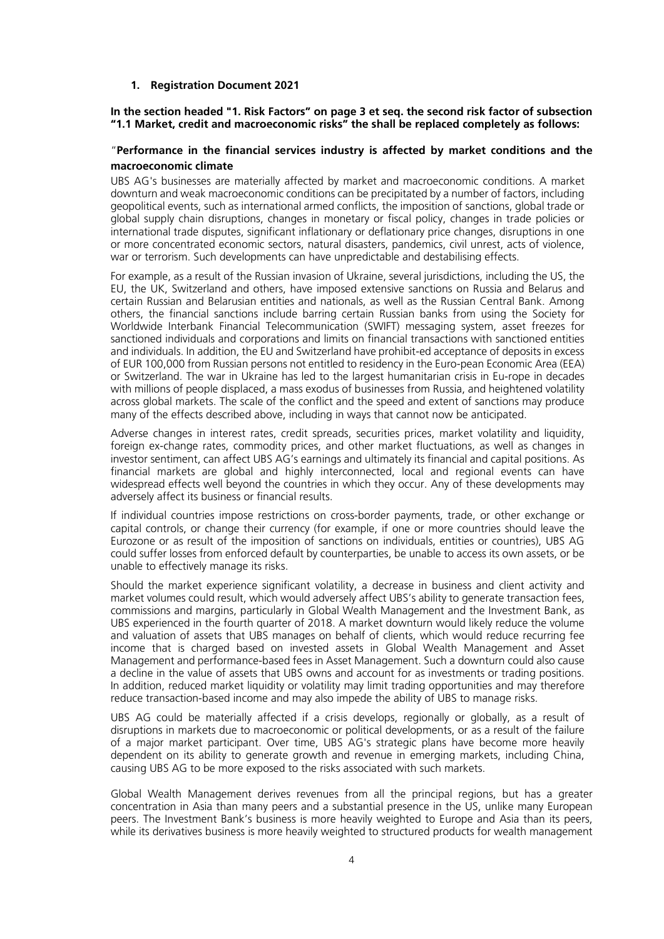#### <span id="page-3-0"></span>**1. Registration Document 2021**

### **In the section headed "1. Risk Factors" on page 3 et seq. the second risk factor of subsection "1.1 Market, credit and macroeconomic risks" the shall be replaced completely as follows:**

#### "**Performance in the financial services industry is affected by market conditions and the macroeconomic climate**

UBS AG's businesses are materially affected by market and macroeconomic conditions. A market downturn and weak macroeconomic conditions can be precipitated by a number of factors, including geopolitical events, such as international armed conflicts, the imposition of sanctions, global trade or global supply chain disruptions, changes in monetary or fiscal policy, changes in trade policies or international trade disputes, significant inflationary or deflationary price changes, disruptions in one or more concentrated economic sectors, natural disasters, pandemics, civil unrest, acts of violence, war or terrorism. Such developments can have unpredictable and destabilising effects.

For example, as a result of the Russian invasion of Ukraine, several jurisdictions, including the US, the EU, the UK, Switzerland and others, have imposed extensive sanctions on Russia and Belarus and certain Russian and Belarusian entities and nationals, as well as the Russian Central Bank. Among others, the financial sanctions include barring certain Russian banks from using the Society for Worldwide Interbank Financial Telecommunication (SWIFT) messaging system, asset freezes for sanctioned individuals and corporations and limits on financial transactions with sanctioned entities and individuals. In addition, the EU and Switzerland have prohibit-ed acceptance of deposits in excess of EUR 100,000 from Russian persons not entitled to residency in the Euro-pean Economic Area (EEA) or Switzerland. The war in Ukraine has led to the largest humanitarian crisis in Eu-rope in decades with millions of people displaced, a mass exodus of businesses from Russia, and heightened volatility across global markets. The scale of the conflict and the speed and extent of sanctions may produce many of the effects described above, including in ways that cannot now be anticipated.

Adverse changes in interest rates, credit spreads, securities prices, market volatility and liquidity, foreign ex-change rates, commodity prices, and other market fluctuations, as well as changes in investor sentiment, can affect UBS AG's earnings and ultimately its financial and capital positions. As financial markets are global and highly interconnected, local and regional events can have widespread effects well beyond the countries in which they occur. Any of these developments may adversely affect its business or financial results.

If individual countries impose restrictions on cross-border payments, trade, or other exchange or capital controls, or change their currency (for example, if one or more countries should leave the Eurozone or as result of the imposition of sanctions on individuals, entities or countries), UBS AG could suffer losses from enforced default by counterparties, be unable to access its own assets, or be unable to effectively manage its risks.

Should the market experience significant volatility, a decrease in business and client activity and market volumes could result, which would adversely affect UBS's ability to generate transaction fees, commissions and margins, particularly in Global Wealth Management and the Investment Bank, as UBS experienced in the fourth quarter of 2018. A market downturn would likely reduce the volume and valuation of assets that UBS manages on behalf of clients, which would reduce recurring fee income that is charged based on invested assets in Global Wealth Management and Asset Management and performance-based fees in Asset Management. Such a downturn could also cause a decline in the value of assets that UBS owns and account for as investments or trading positions. In addition, reduced market liquidity or volatility may limit trading opportunities and may therefore reduce transaction-based income and may also impede the ability of UBS to manage risks.

UBS AG could be materially affected if a crisis develops, regionally or globally, as a result of disruptions in markets due to macroeconomic or political developments, or as a result of the failure of a major market participant. Over time, UBS AG's strategic plans have become more heavily dependent on its ability to generate growth and revenue in emerging markets, including China, causing UBS AG to be more exposed to the risks associated with such markets.

Global Wealth Management derives revenues from all the principal regions, but has a greater concentration in Asia than many peers and a substantial presence in the US, unlike many European peers. The Investment Bank's business is more heavily weighted to Europe and Asia than its peers, while its derivatives business is more heavily weighted to structured products for wealth management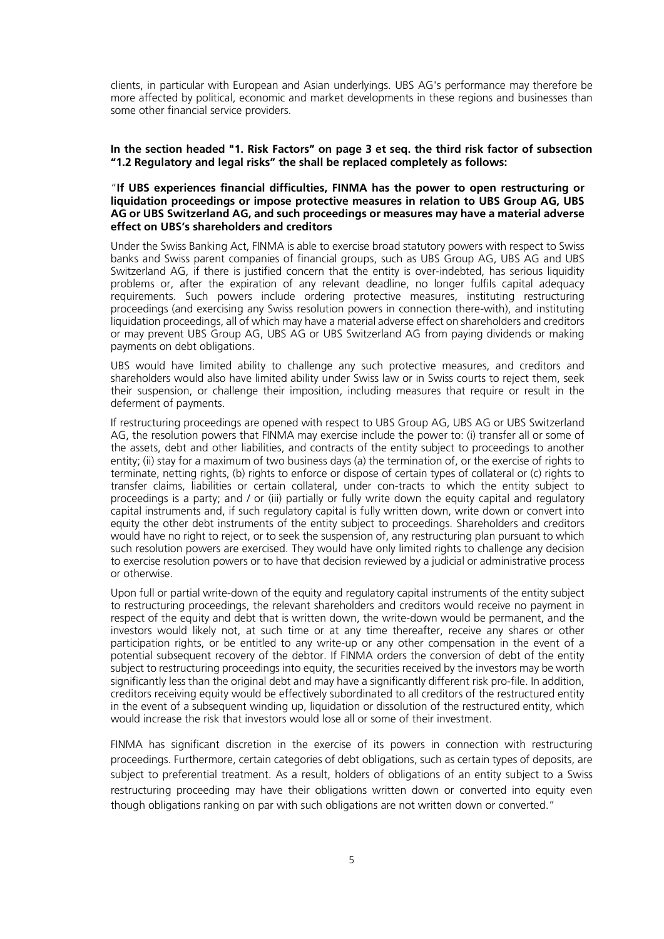clients, in particular with European and Asian underlyings. UBS AG's performance may therefore be more affected by political, economic and market developments in these regions and businesses than some other financial service providers.

#### **In the section headed "1. Risk Factors" on page 3 et seq. the third risk factor of subsection "1.2 Regulatory and legal risks" the shall be replaced completely as follows:**

#### "**If UBS experiences financial difficulties, FINMA has the power to open restructuring or liquidation proceedings or impose protective measures in relation to UBS Group AG, UBS AG or UBS Switzerland AG, and such proceedings or measures may have a material adverse effect on UBS's shareholders and creditors**

Under the Swiss Banking Act, FINMA is able to exercise broad statutory powers with respect to Swiss banks and Swiss parent companies of financial groups, such as UBS Group AG, UBS AG and UBS Switzerland AG, if there is justified concern that the entity is over-indebted, has serious liquidity problems or, after the expiration of any relevant deadline, no longer fulfils capital adequacy requirements. Such powers include ordering protective measures, instituting restructuring proceedings (and exercising any Swiss resolution powers in connection there-with), and instituting liquidation proceedings, all of which may have a material adverse effect on shareholders and creditors or may prevent UBS Group AG, UBS AG or UBS Switzerland AG from paying dividends or making payments on debt obligations.

UBS would have limited ability to challenge any such protective measures, and creditors and shareholders would also have limited ability under Swiss law or in Swiss courts to reject them, seek their suspension, or challenge their imposition, including measures that require or result in the deferment of payments.

If restructuring proceedings are opened with respect to UBS Group AG, UBS AG or UBS Switzerland AG, the resolution powers that FINMA may exercise include the power to: (i) transfer all or some of the assets, debt and other liabilities, and contracts of the entity subject to proceedings to another entity; (ii) stay for a maximum of two business days (a) the termination of, or the exercise of rights to terminate, netting rights, (b) rights to enforce or dispose of certain types of collateral or (c) rights to transfer claims, liabilities or certain collateral, under con-tracts to which the entity subject to proceedings is a party; and / or (iii) partially or fully write down the equity capital and regulatory capital instruments and, if such regulatory capital is fully written down, write down or convert into equity the other debt instruments of the entity subject to proceedings. Shareholders and creditors would have no right to reject, or to seek the suspension of, any restructuring plan pursuant to which such resolution powers are exercised. They would have only limited rights to challenge any decision to exercise resolution powers or to have that decision reviewed by a judicial or administrative process or otherwise.

Upon full or partial write-down of the equity and regulatory capital instruments of the entity subject to restructuring proceedings, the relevant shareholders and creditors would receive no payment in respect of the equity and debt that is written down, the write-down would be permanent, and the investors would likely not, at such time or at any time thereafter, receive any shares or other participation rights, or be entitled to any write-up or any other compensation in the event of a potential subsequent recovery of the debtor. If FINMA orders the conversion of debt of the entity subject to restructuring proceedings into equity, the securities received by the investors may be worth significantly less than the original debt and may have a significantly different risk pro-file. In addition, creditors receiving equity would be effectively subordinated to all creditors of the restructured entity in the event of a subsequent winding up, liquidation or dissolution of the restructured entity, which would increase the risk that investors would lose all or some of their investment.

FINMA has significant discretion in the exercise of its powers in connection with restructuring proceedings. Furthermore, certain categories of debt obligations, such as certain types of deposits, are subject to preferential treatment. As a result, holders of obligations of an entity subject to a Swiss restructuring proceeding may have their obligations written down or converted into equity even though obligations ranking on par with such obligations are not written down or converted."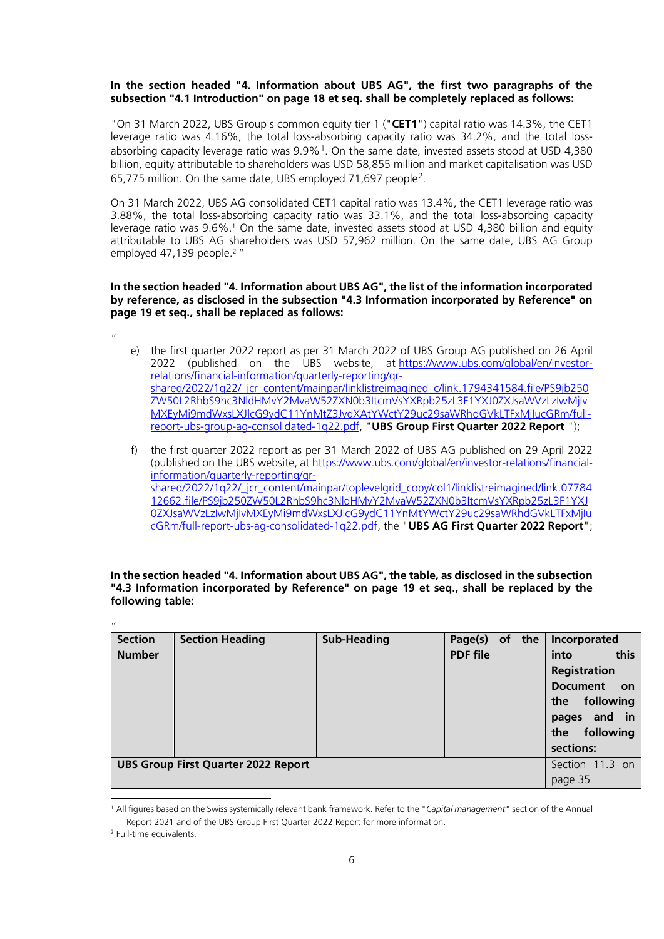#### **In the section headed "4. Information about UBS AG", the first two paragraphs of the subsection "4.1 Introduction" on page 18 et seq. shall be completely replaced as follows:**

"On 31 March 2022, UBS Group's common equity tier 1 ("**CET1**") capital ratio was 14.3%, the CET1 leverage ratio was 4.16%, the total loss-absorbing capacity ratio was 34.2%, and the total lossabsorbing capacity leverage ratio was  $9.9\%$ <sup>[1](#page-5-0)</sup>. On the same date, invested assets stood at USD 4,380 billion, equity attributable to shareholders was USD 58,855 million and market capitalisation was USD 65,775 million. On the same date, UBS employed 71,697 people[2](#page-5-1).

On 31 March 2022, UBS AG consolidated CET1 capital ratio was 13.4%, the CET1 leverage ratio was 3.88%, the total loss-absorbing capacity ratio was 33.1%, and the total loss-absorbing capacity leverage ratio was 9.6%.<sup>1</sup> On the same date, invested assets stood at USD 4,380 billion and equity attributable to UBS AG shareholders was USD 57,962 million. On the same date, UBS AG Group employed 47,139 people.<sup>2</sup> "

#### **In the section headed "4. Information about UBS AG", the list of the information incorporated by reference, as disclosed in the subsection "4.3 Information incorporated by Reference" on page 19 et seq., shall be replaced as follows:**

"

- e) the first quarter 2022 report as per 31 March 2022 of UBS Group AG published on 26 April 2022 (published on the UBS website, at [https://www.ubs.com/global/en/investor](https://www.ubs.com/global/en/investor-relations/financial-information/quarterly-reporting/qr-shared/2022/1q22/_jcr_content/mainpar/linklistreimagined_c/link.1794341584.file/PS9jb250ZW50L2RhbS9hc3NldHMvY2MvaW52ZXN0b3ItcmVsYXRpb25zL3F1YXJ0ZXJsaWVzLzIwMjIvMXEyMi9mdWxsLXJlcG9ydC11YnMtZ3JvdXAtYWctY29uc29saWRhdGVkLTFxMjIucGRm/full-report-ubs-group-ag-consolidated-1q22.pdf)[relations/financial-information/quarterly-reporting/qr](https://www.ubs.com/global/en/investor-relations/financial-information/quarterly-reporting/qr-shared/2022/1q22/_jcr_content/mainpar/linklistreimagined_c/link.1794341584.file/PS9jb250ZW50L2RhbS9hc3NldHMvY2MvaW52ZXN0b3ItcmVsYXRpb25zL3F1YXJ0ZXJsaWVzLzIwMjIvMXEyMi9mdWxsLXJlcG9ydC11YnMtZ3JvdXAtYWctY29uc29saWRhdGVkLTFxMjIucGRm/full-report-ubs-group-ag-consolidated-1q22.pdf)[shared/2022/1q22/\\_jcr\\_content/mainpar/linklistreimagined\\_c/link.1794341584.file/PS9jb250](https://www.ubs.com/global/en/investor-relations/financial-information/quarterly-reporting/qr-shared/2022/1q22/_jcr_content/mainpar/linklistreimagined_c/link.1794341584.file/PS9jb250ZW50L2RhbS9hc3NldHMvY2MvaW52ZXN0b3ItcmVsYXRpb25zL3F1YXJ0ZXJsaWVzLzIwMjIvMXEyMi9mdWxsLXJlcG9ydC11YnMtZ3JvdXAtYWctY29uc29saWRhdGVkLTFxMjIucGRm/full-report-ubs-group-ag-consolidated-1q22.pdf) [ZW50L2RhbS9hc3NldHMvY2MvaW52ZXN0b3ItcmVsYXRpb25zL3F1YXJ0ZXJsaWVzLzIwMjIv](https://www.ubs.com/global/en/investor-relations/financial-information/quarterly-reporting/qr-shared/2022/1q22/_jcr_content/mainpar/linklistreimagined_c/link.1794341584.file/PS9jb250ZW50L2RhbS9hc3NldHMvY2MvaW52ZXN0b3ItcmVsYXRpb25zL3F1YXJ0ZXJsaWVzLzIwMjIvMXEyMi9mdWxsLXJlcG9ydC11YnMtZ3JvdXAtYWctY29uc29saWRhdGVkLTFxMjIucGRm/full-report-ubs-group-ag-consolidated-1q22.pdf) [MXEyMi9mdWxsLXJlcG9ydC11YnMtZ3JvdXAtYWctY29uc29saWRhdGVkLTFxMjIucGRm/full](https://www.ubs.com/global/en/investor-relations/financial-information/quarterly-reporting/qr-shared/2022/1q22/_jcr_content/mainpar/linklistreimagined_c/link.1794341584.file/PS9jb250ZW50L2RhbS9hc3NldHMvY2MvaW52ZXN0b3ItcmVsYXRpb25zL3F1YXJ0ZXJsaWVzLzIwMjIvMXEyMi9mdWxsLXJlcG9ydC11YnMtZ3JvdXAtYWctY29uc29saWRhdGVkLTFxMjIucGRm/full-report-ubs-group-ag-consolidated-1q22.pdf)[report-ubs-group-ag-consolidated-1q22.pdf,](https://www.ubs.com/global/en/investor-relations/financial-information/quarterly-reporting/qr-shared/2022/1q22/_jcr_content/mainpar/linklistreimagined_c/link.1794341584.file/PS9jb250ZW50L2RhbS9hc3NldHMvY2MvaW52ZXN0b3ItcmVsYXRpb25zL3F1YXJ0ZXJsaWVzLzIwMjIvMXEyMi9mdWxsLXJlcG9ydC11YnMtZ3JvdXAtYWctY29uc29saWRhdGVkLTFxMjIucGRm/full-report-ubs-group-ag-consolidated-1q22.pdf) "**UBS Group First Quarter 2022 Report** ");
- f) the first quarter 2022 report as per 31 March 2022 of UBS AG published on 29 April 2022 (published on the UBS website, at [https://www.ubs.com/global/en/investor-relations/financial](https://www.ubs.com/global/en/investor-relations/financial-information/quarterly-reporting/qr-shared/2022/1q22/_jcr_content/mainpar/toplevelgrid_copy/col1/linklistreimagined/link.0778412662.file/PS9jb250ZW50L2RhbS9hc3NldHMvY2MvaW52ZXN0b3ItcmVsYXRpb25zL3F1YXJ0ZXJsaWVzLzIwMjIvMXEyMi9mdWxsLXJlcG9ydC11YnMtYWctY29uc29saWRhdGVkLTFxMjIucGRm/full-report-ubs-ag-consolidated-1q22.pdf)[information/quarterly-reporting/qr](https://www.ubs.com/global/en/investor-relations/financial-information/quarterly-reporting/qr-shared/2022/1q22/_jcr_content/mainpar/toplevelgrid_copy/col1/linklistreimagined/link.0778412662.file/PS9jb250ZW50L2RhbS9hc3NldHMvY2MvaW52ZXN0b3ItcmVsYXRpb25zL3F1YXJ0ZXJsaWVzLzIwMjIvMXEyMi9mdWxsLXJlcG9ydC11YnMtYWctY29uc29saWRhdGVkLTFxMjIucGRm/full-report-ubs-ag-consolidated-1q22.pdf)shared/2022/1q22/\_icr\_content/mainpar/toplevelgrid\_copy/col1/linklistreimagined/link.07784 [12662.file/PS9jb250ZW50L2RhbS9hc3NldHMvY2MvaW52ZXN0b3ItcmVsYXRpb25zL3F1YXJ](https://www.ubs.com/global/en/investor-relations/financial-information/quarterly-reporting/qr-shared/2022/1q22/_jcr_content/mainpar/toplevelgrid_copy/col1/linklistreimagined/link.0778412662.file/PS9jb250ZW50L2RhbS9hc3NldHMvY2MvaW52ZXN0b3ItcmVsYXRpb25zL3F1YXJ0ZXJsaWVzLzIwMjIvMXEyMi9mdWxsLXJlcG9ydC11YnMtYWctY29uc29saWRhdGVkLTFxMjIucGRm/full-report-ubs-ag-consolidated-1q22.pdf) [0ZXJsaWVzLzIwMjIvMXEyMi9mdWxsLXJlcG9ydC11YnMtYWctY29uc29saWRhdGVkLTFxMjIu](https://www.ubs.com/global/en/investor-relations/financial-information/quarterly-reporting/qr-shared/2022/1q22/_jcr_content/mainpar/toplevelgrid_copy/col1/linklistreimagined/link.0778412662.file/PS9jb250ZW50L2RhbS9hc3NldHMvY2MvaW52ZXN0b3ItcmVsYXRpb25zL3F1YXJ0ZXJsaWVzLzIwMjIvMXEyMi9mdWxsLXJlcG9ydC11YnMtYWctY29uc29saWRhdGVkLTFxMjIucGRm/full-report-ubs-ag-consolidated-1q22.pdf) [cGRm/full-report-ubs-ag-consolidated-1q22.pdf,](https://www.ubs.com/global/en/investor-relations/financial-information/quarterly-reporting/qr-shared/2022/1q22/_jcr_content/mainpar/toplevelgrid_copy/col1/linklistreimagined/link.0778412662.file/PS9jb250ZW50L2RhbS9hc3NldHMvY2MvaW52ZXN0b3ItcmVsYXRpb25zL3F1YXJ0ZXJsaWVzLzIwMjIvMXEyMi9mdWxsLXJlcG9ydC11YnMtYWctY29uc29saWRhdGVkLTFxMjIucGRm/full-report-ubs-ag-consolidated-1q22.pdf) the "**UBS AG First Quarter 2022 Report**";

| <b>TOROWING</b> CODIC. |                        |                    |                       |                              |
|------------------------|------------------------|--------------------|-----------------------|------------------------------|
| $^{\prime}$            |                        |                    |                       |                              |
| <b>Section</b>         | <b>Section Heading</b> | <b>Sub-Heading</b> | of the $ $<br>Page(s) | Incorporated                 |
| <b>Number</b>          |                        |                    | <b>PDF</b> file       | this<br>into                 |
|                        |                        |                    |                       | <b>Registration</b>          |
|                        |                        |                    |                       | <b>Document</b><br><b>on</b> |
|                        |                        |                    |                       | following<br>the             |
|                        |                        |                    |                       | and in<br>pages              |
|                        |                        |                    |                       | following<br>the             |

**UBS Group First Quarter 2022 Report** Section 11.3 on

**sections:**

page 35

**In the section headed "4. Information about UBS AG", the table, as disclosed in the subsection "4.3 Information incorporated by Reference" on page 19 et seq., shall be replaced by the following table:**

<span id="page-5-0"></span><sup>1</sup> All figures based on the Swiss systemically relevant bank framework. Refer to the "*Capital management*" section of the Annual Report 2021 and of the UBS Group First Quarter 2022 Report for more information.

<span id="page-5-1"></span><sup>2</sup> Full-time equivalents.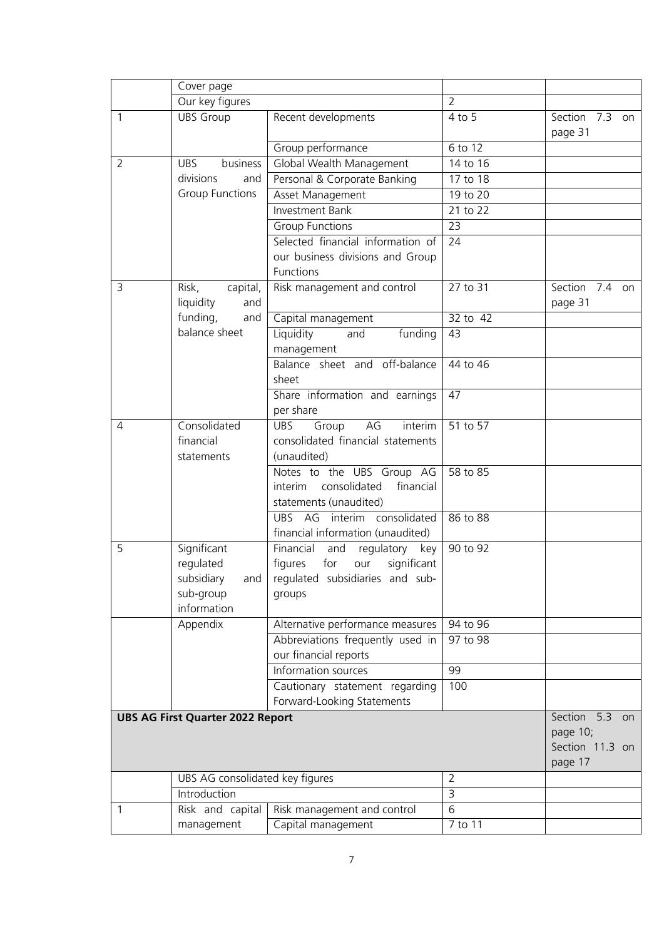|                | Cover page                                                                  |                                                                                                                      |                 |                                                             |
|----------------|-----------------------------------------------------------------------------|----------------------------------------------------------------------------------------------------------------------|-----------------|-------------------------------------------------------------|
|                | Our key figures                                                             |                                                                                                                      | $\overline{2}$  |                                                             |
| 1              | <b>UBS Group</b>                                                            | Recent developments                                                                                                  | 4 to 5          | Section<br>7.3<br>on<br>page 31                             |
|                |                                                                             | Group performance                                                                                                    | 6 to 12         |                                                             |
| $\overline{2}$ | <b>UBS</b><br>business                                                      | Global Wealth Management                                                                                             | 14 to 16        |                                                             |
|                | divisions<br>and                                                            | Personal & Corporate Banking                                                                                         | 17 to 18        |                                                             |
|                | <b>Group Functions</b>                                                      | Asset Management                                                                                                     | 19 to 20        |                                                             |
|                |                                                                             | Investment Bank                                                                                                      | 21 to 22        |                                                             |
|                |                                                                             | <b>Group Functions</b>                                                                                               | 23              |                                                             |
|                |                                                                             | Selected financial information of                                                                                    | $\overline{24}$ |                                                             |
|                |                                                                             | our business divisions and Group                                                                                     |                 |                                                             |
|                |                                                                             | Functions                                                                                                            |                 |                                                             |
| 3              | Risk,<br>capital,                                                           | Risk management and control                                                                                          | 27 to 31        | Section 7.4 on                                              |
|                | liquidity<br>and                                                            |                                                                                                                      |                 | page 31                                                     |
|                | funding,<br>and                                                             | Capital management                                                                                                   | 32 to 42        |                                                             |
|                | balance sheet                                                               | Liquidity<br>funding<br>and<br>management                                                                            | 43              |                                                             |
|                |                                                                             | Balance sheet and off-balance<br>sheet                                                                               | 44 to 46        |                                                             |
|                |                                                                             | Share information and earnings<br>per share                                                                          | 47              |                                                             |
| 4              | Consolidated<br>financial<br>statements                                     | AG<br>interim<br><b>UBS</b><br>Group<br>consolidated financial statements<br>(unaudited)                             | 51 to 57        |                                                             |
|                |                                                                             | Notes to the UBS Group AG<br>consolidated<br>financial<br>interim<br>statements (unaudited)                          | 58 to 85        |                                                             |
|                |                                                                             | UBS AG interim consolidated<br>financial information (unaudited)                                                     | 86 to 88        |                                                             |
| 5              | Significant<br>regulated<br>subsidiary<br>and  <br>sub-group<br>information | Financial<br>and regulatory<br>key<br>significant<br>figures for<br>our<br>regulated subsidiaries and sub-<br>groups | 90 to 92        |                                                             |
|                | Appendix                                                                    | Alternative performance measures                                                                                     | 94 to 96        |                                                             |
|                |                                                                             | Abbreviations frequently used in                                                                                     | 97 to 98        |                                                             |
|                |                                                                             | our financial reports                                                                                                |                 |                                                             |
|                |                                                                             | Information sources                                                                                                  | 99              |                                                             |
|                |                                                                             | Cautionary statement regarding                                                                                       | 100             |                                                             |
|                |                                                                             | Forward-Looking Statements                                                                                           |                 |                                                             |
|                | <b>UBS AG First Quarter 2022 Report</b>                                     |                                                                                                                      |                 | Section 5.3<br>on<br>page 10;<br>Section 11.3 on<br>page 17 |
|                | UBS AG consolidated key figures                                             |                                                                                                                      | $\overline{2}$  |                                                             |
|                | Introduction                                                                |                                                                                                                      | $\overline{3}$  |                                                             |
| 1              | Risk and capital                                                            | Risk management and control                                                                                          | $\overline{6}$  |                                                             |
|                | management                                                                  | Capital management                                                                                                   | 7 to 11         |                                                             |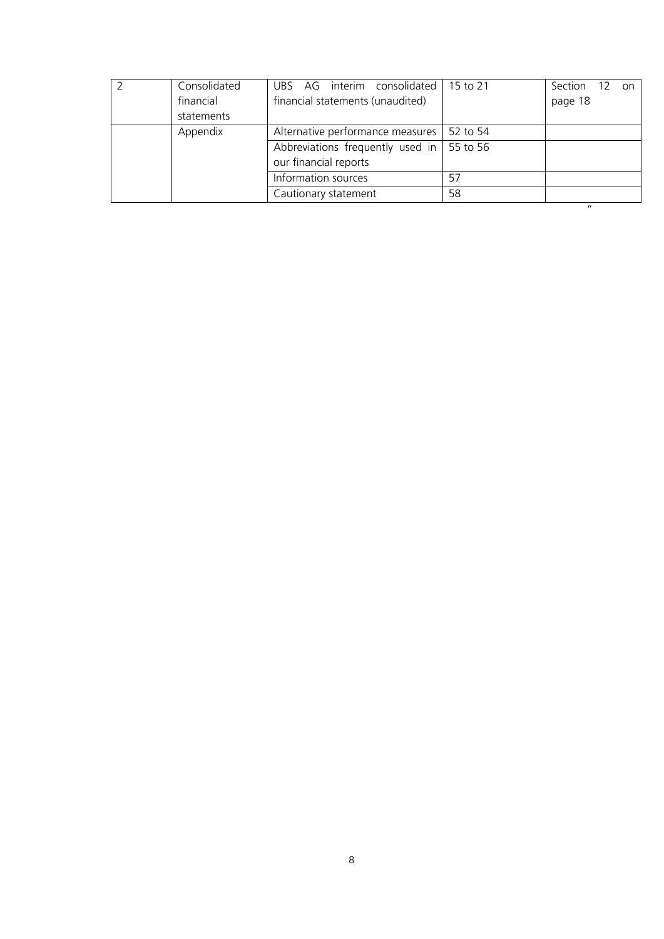|                                                                      | Consolidated | UBS AG interim consolidated   15 to 21            |          | Section 12<br>on  |
|----------------------------------------------------------------------|--------------|---------------------------------------------------|----------|-------------------|
|                                                                      | financial    | financial statements (unaudited)                  |          | page 18           |
|                                                                      | statements   |                                                   |          |                   |
|                                                                      | Appendix     | Alternative performance measures                  | 52 to 54 |                   |
|                                                                      |              | Abbreviations frequently used in $\vert$ 55 to 56 |          |                   |
| our financial reports<br>Information sources<br>Cautionary statement |              |                                                   |          |                   |
|                                                                      |              |                                                   | 57       |                   |
|                                                                      |              |                                                   | 58       |                   |
|                                                                      |              |                                                   |          | $^{\prime\prime}$ |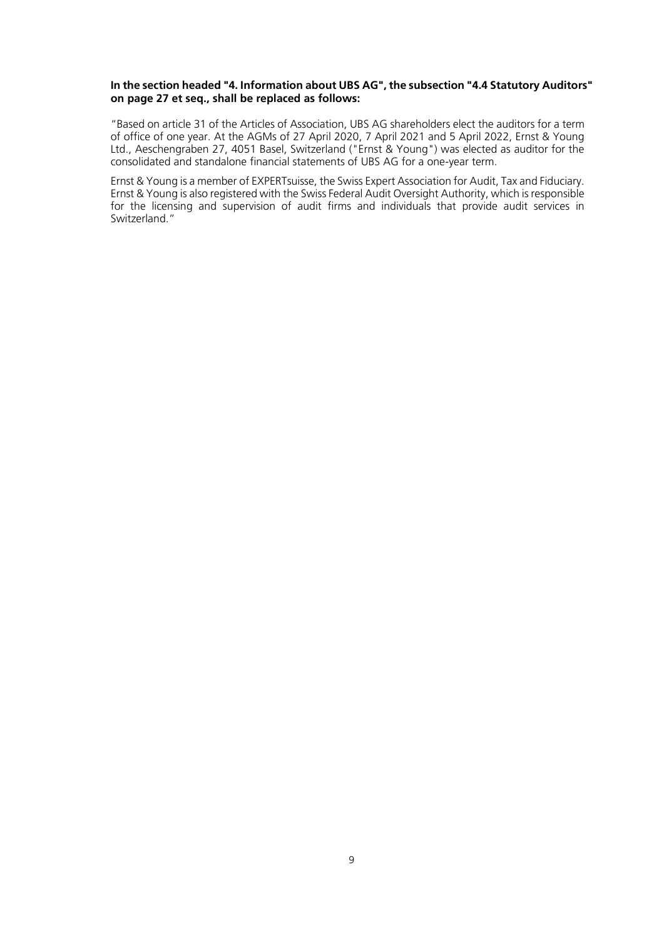#### **In the section headed "4. Information about UBS AG", the subsection "4.4 Statutory Auditors" on page 27 et seq., shall be replaced as follows:**

"Based on article 31 of the Articles of Association, UBS AG shareholders elect the auditors for a term of office of one year. At the AGMs of 27 April 2020, 7 April 2021 and 5 April 2022, Ernst & Young Ltd., Aeschengraben 27, 4051 Basel, Switzerland ("Ernst & Young") was elected as auditor for the consolidated and standalone financial statements of UBS AG for a one-year term.

Ernst & Young is a member of EXPERTsuisse, the Swiss Expert Association for Audit, Tax and Fiduciary. Ernst & Young is also registered with the Swiss Federal Audit Oversight Authority, which is responsible for the licensing and supervision of audit firms and individuals that provide audit services in Switzerland."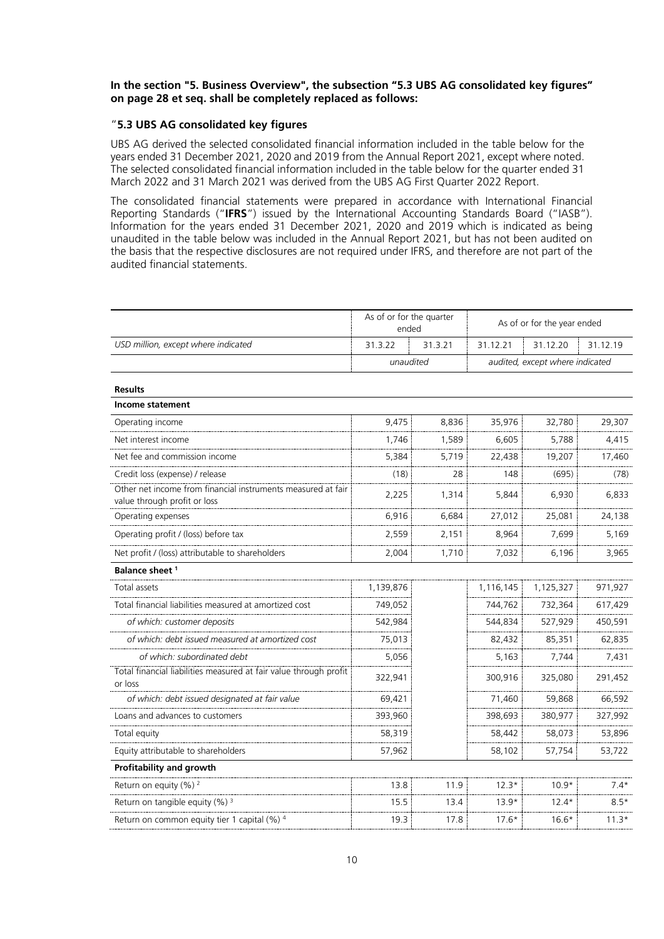#### **In the section "5. Business Overview", the subsection "5.3 UBS AG consolidated key figures" on page 28 et seq. shall be completely replaced as follows:**

#### "**5.3 UBS AG consolidated key figures**

UBS AG derived the selected consolidated financial information included in the table below for the years ended 31 December 2021, 2020 and 2019 from the Annual Report 2021, except where noted. The selected consolidated financial information included in the table below for the quarter ended 31 March 2022 and 31 March 2021 was derived from the UBS AG First Quarter 2022 Report.

The consolidated financial statements were prepared in accordance with International Financial Reporting Standards ("**IFRS**") issued by the International Accounting Standards Board ("IASB"). Information for the years ended 31 December 2021, 2020 and 2019 which is indicated as being unaudited in the table below was included in the Annual Report 2021, but has not been audited on the basis that the respective disclosures are not required under IFRS, and therefore are not part of the audited financial statements.

|                                                                                              | As of or for the quarter<br>ended |         |           | As of or for the year ended     |          |
|----------------------------------------------------------------------------------------------|-----------------------------------|---------|-----------|---------------------------------|----------|
| USD million, except where indicated                                                          | 31.3.22                           | 31.3.21 | 31.12.21  | 31.12.20                        | 31.12.19 |
|                                                                                              | unaudited                         |         |           | audited, except where indicated |          |
| <b>Results</b>                                                                               |                                   |         |           |                                 |          |
| Income statement                                                                             |                                   |         |           |                                 |          |
| Operating income                                                                             | 9.475                             | 8,836   | 35,976    | 32,780                          | 29,307   |
| Net interest income                                                                          | 1,746                             | 1,589   | 6,605     | 5,788                           | 4,415    |
| Net fee and commission income                                                                | 5,384                             | 5,719   | 22,438    | 19,207                          | 17,460   |
| Credit loss (expense) / release                                                              | (18)                              | 28      | 148       | (695)                           | (78)     |
| Other net income from financial instruments measured at fair<br>value through profit or loss | 2,225                             | 1,314   | 5,844     | 6,930                           | 6,833    |
| Operating expenses                                                                           | 6,916                             | 6,684   | 27,012    | 25,081                          | 24,138   |
| Operating profit / (loss) before tax                                                         | 2,559                             | 2,151   | 8,964     | 7,699                           | 5,169    |
| Net profit / (loss) attributable to shareholders                                             | 2,004                             | 1,710   | 7,032     | 6,196                           | 3,965    |
| Balance sheet <sup>1</sup>                                                                   |                                   |         |           |                                 |          |
| Total assets                                                                                 | 1,139,876                         |         | 1,116,145 | 1,125,327                       | 971,927  |
| Total financial liabilities measured at amortized cost                                       | 749,052                           |         | 744,762   | 732,364                         | 617,429  |
| of which: customer deposits                                                                  | 542,984                           |         | 544,834   | 527,929                         | 450,591  |
| of which: debt issued measured at amortized cost                                             | 75,013                            |         | 82,432    | 85,351                          | 62,835   |
| of which: subordinated debt                                                                  | 5,056                             |         | 5,163     | 7,744                           | 7,431    |
| Total financial liabilities measured at fair value through profit<br>or loss                 | 322,941                           |         | 300,916   | 325,080                         | 291,452  |
| of which: debt issued designated at fair value                                               | 69,421                            |         | 71,460    | 59,868                          | 66,592   |
| Loans and advances to customers                                                              | 393,960                           |         | 398,693   | 380,977                         | 327,992  |
| Total equity                                                                                 | 58,319                            |         | 58,442    | 58,073                          | 53,896   |
| Equity attributable to shareholders                                                          | 57,962                            |         | 58,102    | 57,754                          | 53,722   |
| Profitability and growth                                                                     |                                   |         |           |                                 |          |
| Return on equity (%) <sup>2</sup>                                                            | 13.8                              | 11.9    | $12.3*$   | $10.9*$                         | $7.4*$   |
| Return on tangible equity $(\%)$ <sup>3</sup>                                                | 15.5                              | 13.4    | $13.9*$   | $12.4*$                         | $8.5*$   |
| Return on common equity tier 1 capital (%) 4                                                 | 19.3                              | 17.8    | $17.6*$   | $16.6*$                         | $11.3*$  |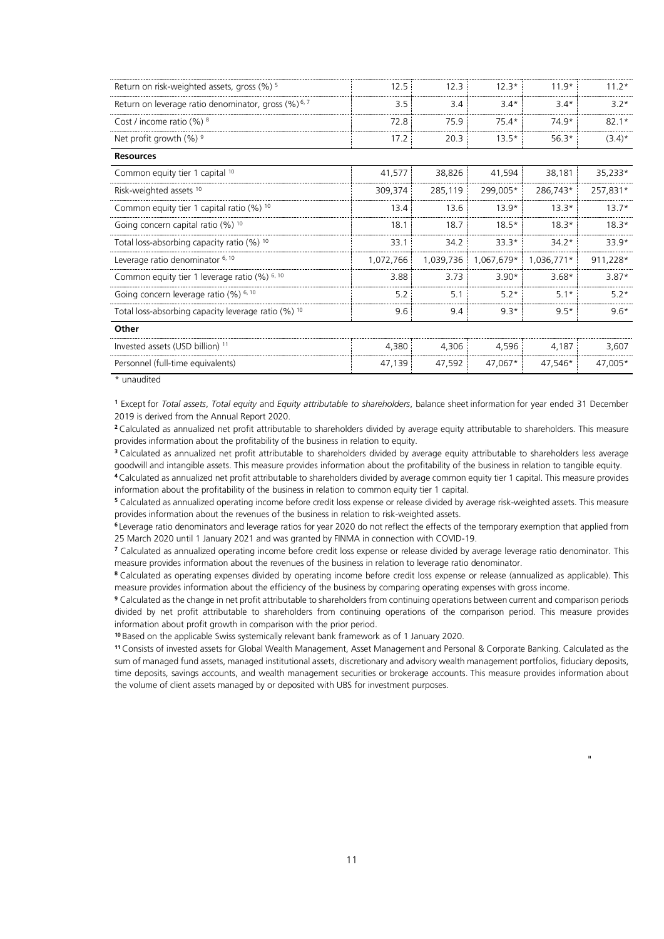| Return on risk-weighted assets, gross (%) <sup>5</sup>         | 12.5      | 12.3      | $12.3*$    | $11.9*$    | $11.2*$   |
|----------------------------------------------------------------|-----------|-----------|------------|------------|-----------|
| Return on leverage ratio denominator, gross (%) <sup>6,7</sup> | 3.5       | 3.4       | $3.4*$     | $3.4*$     | $3.2*$    |
| Cost / income ratio $(\%)$ <sup>8</sup>                        | 72.8      | 75.9      | $75.4*$    | 74.9*      | $82.1*$   |
| Net profit growth $(\%)$ <sup>9</sup>                          | 17.2      | 20.3      | $13.5*$    | $56.3*$    | $(3.4)^*$ |
| <b>Resources</b>                                               |           |           |            |            |           |
| Common equity tier 1 capital 10                                | 41,577    | 38,826    | 41,594     | 38,181     | 35,233*   |
| Risk-weighted assets <sup>10</sup>                             | 309,374   | 285,119   | 299,005*   | 286,743*   | 257,831*  |
| Common equity tier 1 capital ratio $(%)$ 10                    | 13.4      | 13.6      | $13.9*$    | $13.3*$    | $13.7*$   |
| Going concern capital ratio (%) 10                             | 18.1      | 18.7      | $18.5*$    | $18.3*$    | $18.3*$   |
| Total loss-absorbing capacity ratio (%) 10                     | 33.1      | 34.2      | $33.3*$    | $34.2*$    | 33.9*     |
| Leverage ratio denominator <sup>6, 10</sup>                    | 1,072,766 | 1,039,736 | 1,067,679* | 1,036,771* | 911,228*  |
| Common equity tier 1 leverage ratio (%) 6, 10                  | 3.88      | 3.73      | $3.90*$    | $3.68*$    | $3.87*$   |
| Going concern leverage ratio (%) 6, 10                         | 5.2       | 5.1       | $5.2*$     | $5.1*$     | $5.2*$    |
| Total loss-absorbing capacity leverage ratio (%) 10            | 9.6       | 9.4       | $9.3*$     | $9.5*$     | $9.6*$    |
| Other                                                          |           |           |            |            |           |
| Invested assets (USD billion) <sup>11</sup>                    | 4,380     | 4,306     | 4,596      | 4,187      | 3,607     |
| Personnel (full-time equivalents)                              | 47,139    | 47,592    | 47,067*    | 47,546*    | 47,005*   |
|                                                                |           |           |            |            |           |

 $*$  unaudited

**<sup>1</sup>** Except for *Total assets*, *Total equity* and *Equity attributable to shareholders*, balance sheet information for year ended 31 December 2019 is derived from the Annual Report 2020.

**<sup>2</sup>**Calculated as annualized net profit attributable to shareholders divided by average equity attributable to shareholders. This measure provides information about the profitability of the business in relation to equity.

**<sup>3</sup>** Calculated as annualized net profit attributable to shareholders divided by average equity attributable to shareholders less average goodwill and intangible assets. This measure provides information about the profitability of the business in relation to tangible equity.

**<sup>4</sup>**Calculated as annualized net profit attributable to shareholders divided by average common equity tier 1 capital. This measure provides information about the profitability of the business in relation to common equity tier 1 capital.

**<sup>5</sup>** Calculated as annualized operating income before credit loss expense or release divided by average risk-weighted assets. This measure provides information about the revenues of the business in relation to risk-weighted assets.

**<sup>6</sup>** Leverage ratio denominators and leverage ratios for year 2020 do not reflect the effects of the temporary exemption that applied from 25 March 2020 until 1 January 2021 and was granted by FINMA in connection with COVID-19.

**<sup>7</sup>** Calculated as annualized operating income before credit loss expense or release divided by average leverage ratio denominator. This measure provides information about the revenues of the business in relation to leverage ratio denominator.

**<sup>8</sup>** Calculated as operating expenses divided by operating income before credit loss expense or release (annualized as applicable). This measure provides information about the efficiency of the business by comparing operating expenses with gross income.

**<sup>9</sup>** Calculated as the change in net profit attributable to shareholders from continuing operations between current and comparison periods divided by net profit attributable to shareholders from continuing operations of the comparison period. This measure provides information about profit growth in comparison with the prior period.

**<sup>10</sup>** Based on the applicable Swiss systemically relevant bank framework as of 1 January 2020.

**<sup>11</sup>** Consists of invested assets for Global Wealth Management, Asset Management and Personal & Corporate Banking. Calculated as the sum of managed fund assets, managed institutional assets, discretionary and advisory wealth management portfolios, fiduciary deposits, time deposits, savings accounts, and wealth management securities or brokerage accounts. This measure provides information about the volume of client assets managed by or deposited with UBS for investment purposes.

"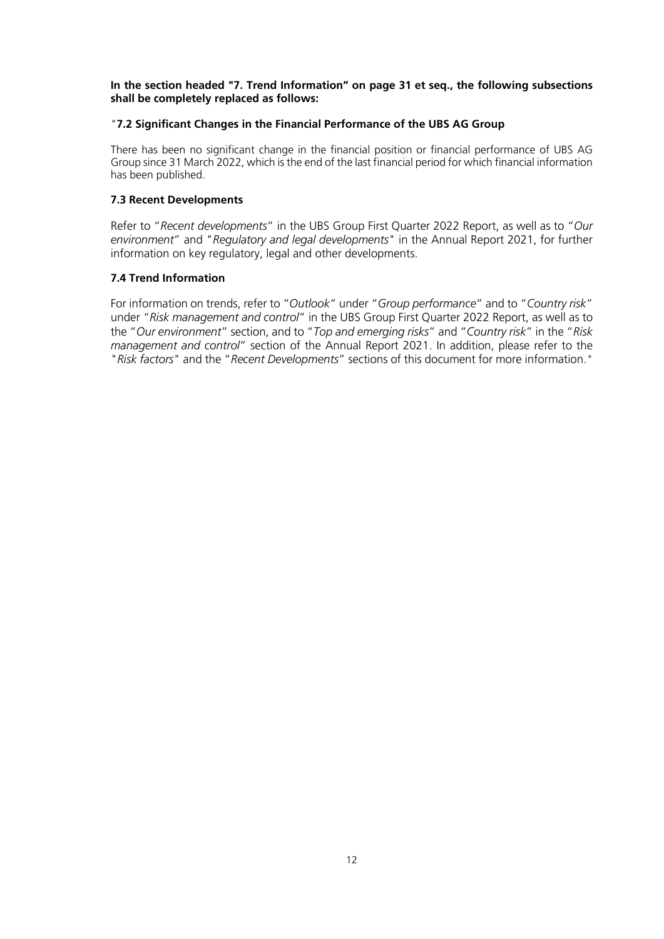### **In the section headed "7. Trend Information" on page 31 et seq., the following subsections shall be completely replaced as follows:**

### "**7.2 Significant Changes in the Financial Performance of the UBS AG Group**

There has been no significant change in the financial position or financial performance of UBS AG Group since 31 March 2022, which is the end of the last financial period for which financial information has been published.

## **7.3 Recent Developments**

Refer to "*Recent developments*" in the UBS Group First Quarter 2022 Report, as well as to "*Our environment*" and "*Regulatory and legal developments*" in the Annual Report 2021, for further information on key regulatory, legal and other developments.

## **7.4 Trend Information**

For information on trends, refer to "*Outlook*" under "*Group performance*" and to "*Country risk*" under "*Risk management and control*" in the UBS Group First Quarter 2022 Report, as well as to the "*Our environment*" section, and to "*Top and emerging risks*" and "*Country risk*" in the "*Risk management and control*" section of the Annual Report 2021. In addition, please refer to the "*Risk factors*" and the "*Recent Developments*" sections of this document for more information."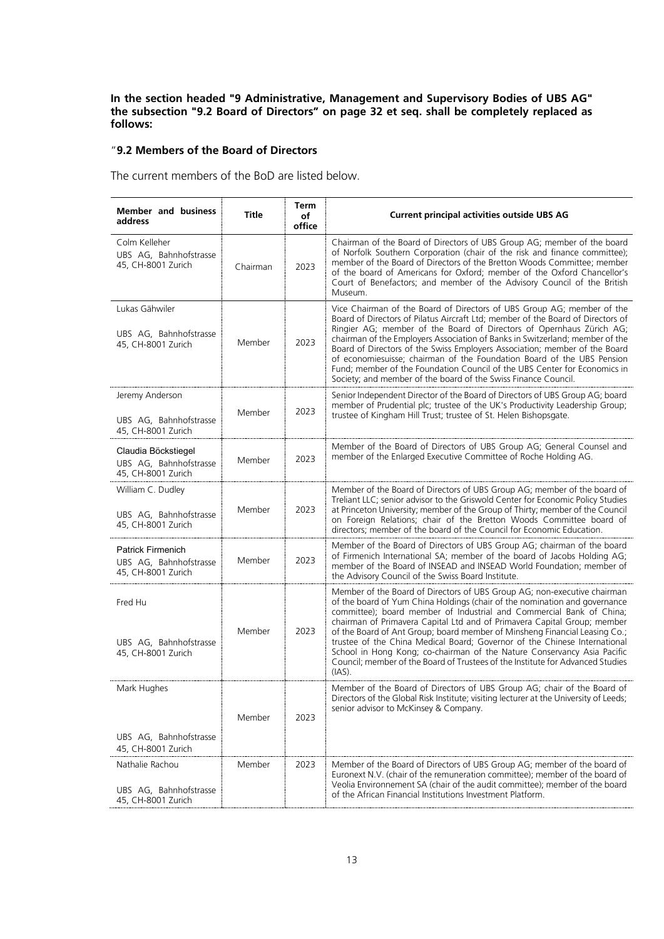**In the section headed "9 Administrative, Management and Supervisory Bodies of UBS AG" the subsection "9.2 Board of Directors" on page 32 et seq. shall be completely replaced as follows:**

## "**9.2 Members of the Board of Directors**

The current members of the BoD are listed below.

| <b>Member and business</b><br>address                                    | Title    | Term<br>оf<br>office | <b>Current principal activities outside UBS AG</b>                                                                                                                                                                                                                                                                                                                                                                                                                                                                                                                                                                                              |
|--------------------------------------------------------------------------|----------|----------------------|-------------------------------------------------------------------------------------------------------------------------------------------------------------------------------------------------------------------------------------------------------------------------------------------------------------------------------------------------------------------------------------------------------------------------------------------------------------------------------------------------------------------------------------------------------------------------------------------------------------------------------------------------|
| Colm Kelleher<br>UBS AG, Bahnhofstrasse<br>45, CH-8001 Zurich            | Chairman | 2023                 | Chairman of the Board of Directors of UBS Group AG; member of the board<br>of Norfolk Southern Corporation (chair of the risk and finance committee);<br>member of the Board of Directors of the Bretton Woods Committee; member<br>of the board of Americans for Oxford; member of the Oxford Chancellor's<br>Court of Benefactors; and member of the Advisory Council of the British<br>Museum.                                                                                                                                                                                                                                               |
| Lukas Gähwiler<br>UBS AG, Bahnhofstrasse<br>45, CH-8001 Zurich           | Member   | 2023                 | Vice Chairman of the Board of Directors of UBS Group AG; member of the<br>Board of Directors of Pilatus Aircraft Ltd; member of the Board of Directors of<br>Ringier AG; member of the Board of Directors of Opernhaus Zürich AG;<br>chairman of the Employers Association of Banks in Switzerland; member of the<br>Board of Directors of the Swiss Employers Association; member of the Board<br>of economiesuisse; chairman of the Foundation Board of the UBS Pension<br>Fund; member of the Foundation Council of the UBS Center for Economics in<br>Society; and member of the board of the Swiss Finance Council.                        |
| Jeremy Anderson<br>UBS AG, Bahnhofstrasse<br>45, CH-8001 Zurich          | Member   | 2023                 | Senior Independent Director of the Board of Directors of UBS Group AG; board<br>member of Prudential plc; trustee of the UK's Productivity Leadership Group;<br>trustee of Kingham Hill Trust; trustee of St. Helen Bishopsgate.                                                                                                                                                                                                                                                                                                                                                                                                                |
| Claudia Böckstiegel<br>UBS AG, Bahnhofstrasse<br>45, CH-8001 Zurich      | Member   | 2023                 | Member of the Board of Directors of UBS Group AG; General Counsel and<br>member of the Enlarged Executive Committee of Roche Holding AG.                                                                                                                                                                                                                                                                                                                                                                                                                                                                                                        |
| William C. Dudley<br>UBS AG, Bahnhofstrasse<br>45, CH-8001 Zurich        | Member   | 2023                 | Member of the Board of Directors of UBS Group AG; member of the board of<br>Treliant LLC; senior advisor to the Griswold Center for Economic Policy Studies<br>at Princeton University; member of the Group of Thirty; member of the Council<br>on Foreign Relations; chair of the Bretton Woods Committee board of<br>directors; member of the board of the Council for Economic Education.                                                                                                                                                                                                                                                    |
| <b>Patrick Firmenich</b><br>UBS AG, Bahnhofstrasse<br>45, CH-8001 Zurich | Member   | 2023                 | Member of the Board of Directors of UBS Group AG; chairman of the board<br>of Firmenich International SA; member of the board of Jacobs Holding AG;<br>member of the Board of INSEAD and INSEAD World Foundation; member of<br>the Advisory Council of the Swiss Board Institute.                                                                                                                                                                                                                                                                                                                                                               |
| Fred Hu<br>UBS AG, Bahnhofstrasse<br>45, CH-8001 Zurich                  | Member   | 2023                 | Member of the Board of Directors of UBS Group AG; non-executive chairman<br>of the board of Yum China Holdings (chair of the nomination and governance<br>committee); board member of Industrial and Commercial Bank of China;<br>chairman of Primavera Capital Ltd and of Primavera Capital Group; member<br>of the Board of Ant Group; board member of Minsheng Financial Leasing Co.;<br>trustee of the China Medical Board; Governor of the Chinese International<br>School in Hong Kong; co-chairman of the Nature Conservancy Asia Pacific<br>Council; member of the Board of Trustees of the Institute for Advanced Studies<br>$(IAS)$ . |
| Mark Hughes<br>UBS AG, Bahnhofstrasse                                    | Member   | 2023                 | Member of the Board of Directors of UBS Group AG; chair of the Board of<br>Directors of the Global Risk Institute; visiting lecturer at the University of Leeds;<br>senior advisor to McKinsey & Company.                                                                                                                                                                                                                                                                                                                                                                                                                                       |
| 45, CH-8001 Zurich                                                       |          |                      |                                                                                                                                                                                                                                                                                                                                                                                                                                                                                                                                                                                                                                                 |
| Nathalie Rachou<br>UBS AG, Bahnhofstrasse<br>45, CH-8001 Zurich          | Member   | 2023                 | Member of the Board of Directors of UBS Group AG; member of the board of<br>Euronext N.V. (chair of the remuneration committee); member of the board of<br>Veolia Environnement SA (chair of the audit committee); member of the board<br>of the African Financial Institutions Investment Platform.                                                                                                                                                                                                                                                                                                                                            |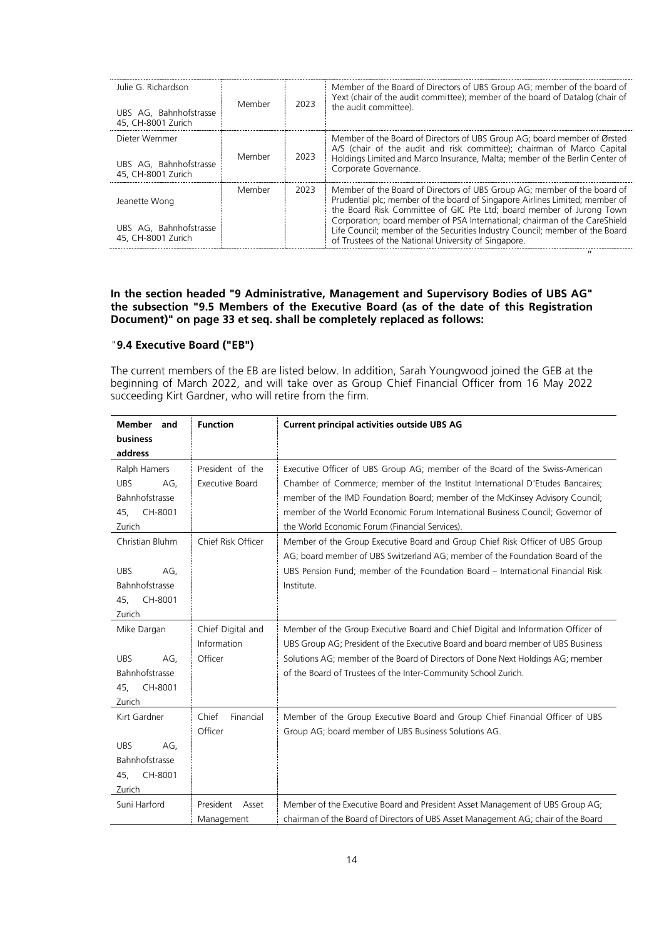| Julie G. Richardson<br>UBS AG, Bahnhofstrasse<br>45, CH-8001 Zurich | Member | 2023 | Member of the Board of Directors of UBS Group AG; member of the board of<br>Yext (chair of the audit committee); member of the board of Datalog (chair of<br>the audit committee).                                                                                                                                                                                                                                                                     |
|---------------------------------------------------------------------|--------|------|--------------------------------------------------------------------------------------------------------------------------------------------------------------------------------------------------------------------------------------------------------------------------------------------------------------------------------------------------------------------------------------------------------------------------------------------------------|
| Dieter Wemmer<br>UBS AG, Bahnhofstrasse<br>45, CH-8001 Zurich       | Member | 2023 | Member of the Board of Directors of UBS Group AG; board member of Ørsted<br>A/S (chair of the audit and risk committee); chairman of Marco Capital<br>Holdings Limited and Marco Insurance, Malta; member of the Berlin Center of<br>Corporate Governance.                                                                                                                                                                                             |
| Jeanette Wong<br>UBS AG, Bahnhofstrasse<br>45, CH-8001 Zurich       | Member | 2023 | Member of the Board of Directors of UBS Group AG; member of the board of<br>Prudential plc; member of the board of Singapore Airlines Limited; member of<br>the Board Risk Committee of GIC Pte Ltd; board member of Jurong Town<br>Corporation; board member of PSA International; chairman of the CareShield<br>Life Council; member of the Securities Industry Council; member of the Board<br>of Trustees of the National University of Singapore. |

 $"$ 

### **In the section headed "9 Administrative, Management and Supervisory Bodies of UBS AG" the subsection "9.5 Members of the Executive Board (as of the date of this Registration Document)" on page 33 et seq. shall be completely replaced as follows:**

### "**9.4 Executive Board ("EB")**

The current members of the EB are listed below. In addition, Sarah Youngwood joined the GEB at the beginning of March 2022, and will take over as Group Chief Financial Officer from 16 May 2022 succeeding Kirt Gardner, who will retire from the firm.

| Member<br>and<br>business<br>address                                               | <b>Function</b>                             | <b>Current principal activities outside UBS AG</b>                                                                                                                                                                                                                                                                                                                                |
|------------------------------------------------------------------------------------|---------------------------------------------|-----------------------------------------------------------------------------------------------------------------------------------------------------------------------------------------------------------------------------------------------------------------------------------------------------------------------------------------------------------------------------------|
| Ralph Hamers<br><b>UBS</b><br>AG,<br>Bahnhofstrasse<br>45,<br>CH-8001<br>Zurich    | President of the<br>Executive Board         | Executive Officer of UBS Group AG; member of the Board of the Swiss-American<br>Chamber of Commerce; member of the Institut International D'Etudes Bancaires;<br>member of the IMD Foundation Board; member of the McKinsey Advisory Council;<br>member of the World Economic Forum International Business Council; Governor of<br>the World Economic Forum (Financial Services). |
| Christian Bluhm<br><b>UBS</b><br>AG,<br>Bahnhofstrasse<br>CH-8001<br>45,<br>Zurich | Chief Risk Officer                          | Member of the Group Executive Board and Group Chief Risk Officer of UBS Group<br>AG; board member of UBS Switzerland AG; member of the Foundation Board of the<br>UBS Pension Fund; member of the Foundation Board - International Financial Risk<br>Institute.                                                                                                                   |
| Mike Dargan<br><b>UBS</b><br>AG,<br>Bahnhofstrasse<br>CH-8001<br>45,<br>Zurich     | Chief Digital and<br>Information<br>Officer | Member of the Group Executive Board and Chief Digital and Information Officer of<br>UBS Group AG; President of the Executive Board and board member of UBS Business<br>Solutions AG; member of the Board of Directors of Done Next Holdings AG; member<br>of the Board of Trustees of the Inter-Community School Zurich.                                                          |
| Kirt Gardner<br><b>UBS</b><br>AG,<br>Bahnhofstrasse<br>45,<br>CH-8001<br>Zurich    | Chief<br>Financial<br>Officer               | Member of the Group Executive Board and Group Chief Financial Officer of UBS<br>Group AG; board member of UBS Business Solutions AG.                                                                                                                                                                                                                                              |
| Suni Harford                                                                       | President<br>Asset<br>Management            | Member of the Executive Board and President Asset Management of UBS Group AG;<br>chairman of the Board of Directors of UBS Asset Management AG; chair of the Board                                                                                                                                                                                                                |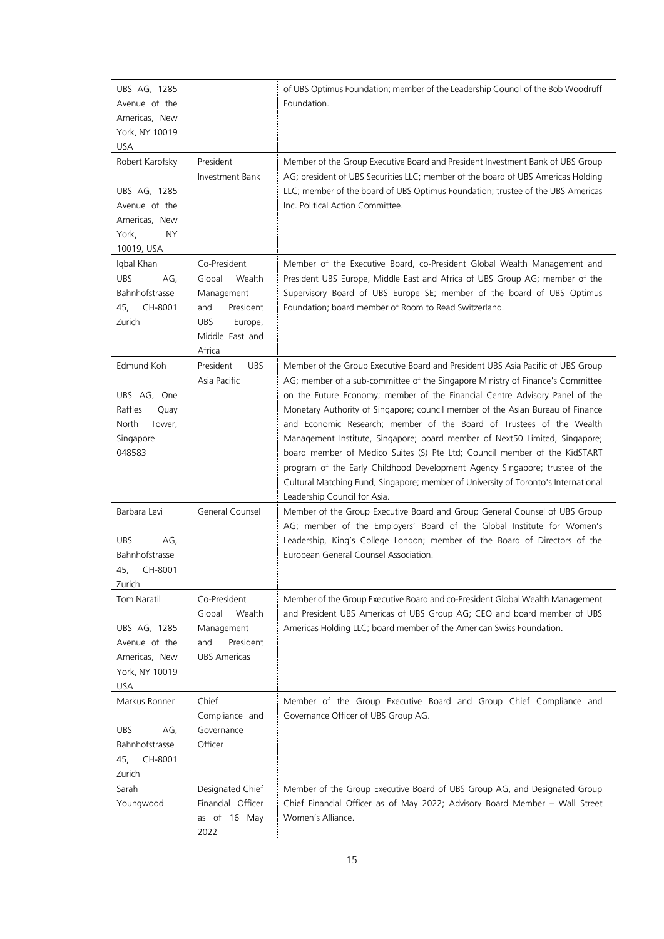| UBS AG, 1285<br>Avenue of the<br>Americas, New<br>York, NY 10019<br>USA                               |                                                                                                                          | of UBS Optimus Foundation; member of the Leadership Council of the Bob Woodruff<br>Foundation.                                                                                                                                                                                                                                                                                                                                                                                                                                                                                                                                                                                                                                                                              |
|-------------------------------------------------------------------------------------------------------|--------------------------------------------------------------------------------------------------------------------------|-----------------------------------------------------------------------------------------------------------------------------------------------------------------------------------------------------------------------------------------------------------------------------------------------------------------------------------------------------------------------------------------------------------------------------------------------------------------------------------------------------------------------------------------------------------------------------------------------------------------------------------------------------------------------------------------------------------------------------------------------------------------------------|
| Robert Karofsky<br>UBS AG, 1285<br>Avenue of the<br>Americas, New<br><b>NY</b><br>York,<br>10019, USA | President<br>Investment Bank                                                                                             | Member of the Group Executive Board and President Investment Bank of UBS Group<br>AG; president of UBS Securities LLC; member of the board of UBS Americas Holding<br>LLC; member of the board of UBS Optimus Foundation; trustee of the UBS Americas<br>Inc. Political Action Committee.                                                                                                                                                                                                                                                                                                                                                                                                                                                                                   |
| Iqbal Khan<br><b>UBS</b><br>AG,<br>Bahnhofstrasse<br>45,<br>CH-8001<br>Zurich                         | Co-President<br>Global<br>Wealth<br>Management<br>President<br>and<br><b>UBS</b><br>Europe,<br>Middle East and<br>Africa | Member of the Executive Board, co-President Global Wealth Management and<br>President UBS Europe, Middle East and Africa of UBS Group AG; member of the<br>Supervisory Board of UBS Europe SE; member of the board of UBS Optimus<br>Foundation; board member of Room to Read Switzerland.                                                                                                                                                                                                                                                                                                                                                                                                                                                                                  |
| Edmund Koh<br>UBS AG, One<br>Raffles<br>Quay<br>North<br>Tower,<br>Singapore<br>048583                | President<br><b>UBS</b><br>Asia Pacific                                                                                  | Member of the Group Executive Board and President UBS Asia Pacific of UBS Group<br>AG; member of a sub-committee of the Singapore Ministry of Finance's Committee<br>on the Future Economy; member of the Financial Centre Advisory Panel of the<br>Monetary Authority of Singapore; council member of the Asian Bureau of Finance<br>and Economic Research; member of the Board of Trustees of the Wealth<br>Management Institute, Singapore; board member of Next50 Limited, Singapore;<br>board member of Medico Suites (S) Pte Ltd; Council member of the KidSTART<br>program of the Early Childhood Development Agency Singapore; trustee of the<br>Cultural Matching Fund, Singapore; member of University of Toronto's International<br>Leadership Council for Asia. |
| Barbara Levi<br><b>UBS</b><br>AG,<br>Bahnhofstrasse<br>45,<br>CH-8001<br>Zurich                       | General Counsel                                                                                                          | Member of the Group Executive Board and Group General Counsel of UBS Group<br>AG; member of the Employers' Board of the Global Institute for Women's<br>Leadership, King's College London; member of the Board of Directors of the<br>European General Counsel Association.                                                                                                                                                                                                                                                                                                                                                                                                                                                                                                 |
| Tom Naratil<br>UBS AG, 1285<br>Avenue of the<br>Americas, New<br>York, NY 10019<br>USA                | Co-President<br>Wealth<br>Global<br>Management<br>President<br>and<br><b>UBS Americas</b>                                | Member of the Group Executive Board and co-President Global Wealth Management<br>and President UBS Americas of UBS Group AG; CEO and board member of UBS<br>Americas Holding LLC; board member of the American Swiss Foundation.                                                                                                                                                                                                                                                                                                                                                                                                                                                                                                                                            |
| Markus Ronner<br>AG,<br><b>UBS</b><br>Bahnhofstrasse<br>45,<br>CH-8001<br>Zurich                      | Chief<br>Compliance and<br>Governance<br>Officer                                                                         | Member of the Group Executive Board and Group Chief Compliance and<br>Governance Officer of UBS Group AG.                                                                                                                                                                                                                                                                                                                                                                                                                                                                                                                                                                                                                                                                   |
| Sarah<br>Youngwood                                                                                    | Designated Chief<br>Financial Officer<br>as of 16 May<br>2022                                                            | Member of the Group Executive Board of UBS Group AG, and Designated Group<br>Chief Financial Officer as of May 2022; Advisory Board Member - Wall Street<br>Women's Alliance.                                                                                                                                                                                                                                                                                                                                                                                                                                                                                                                                                                                               |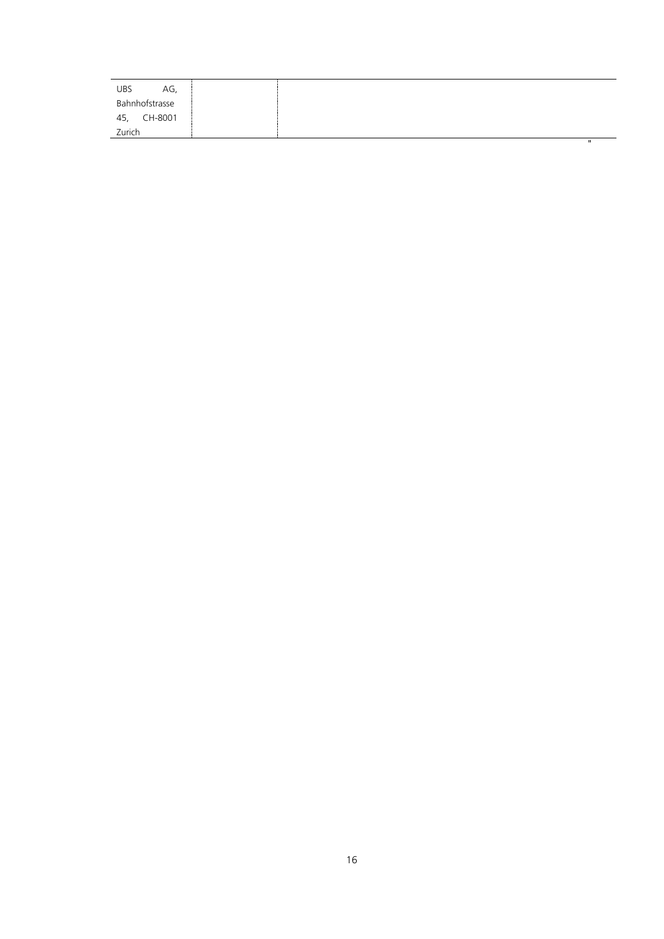| UBS<br>AG      |  |  |              |
|----------------|--|--|--------------|
| Bahnhofstrasse |  |  |              |
| CH-8001<br>45, |  |  |              |
| Zurich         |  |  |              |
|                |  |  | $\mathbf{u}$ |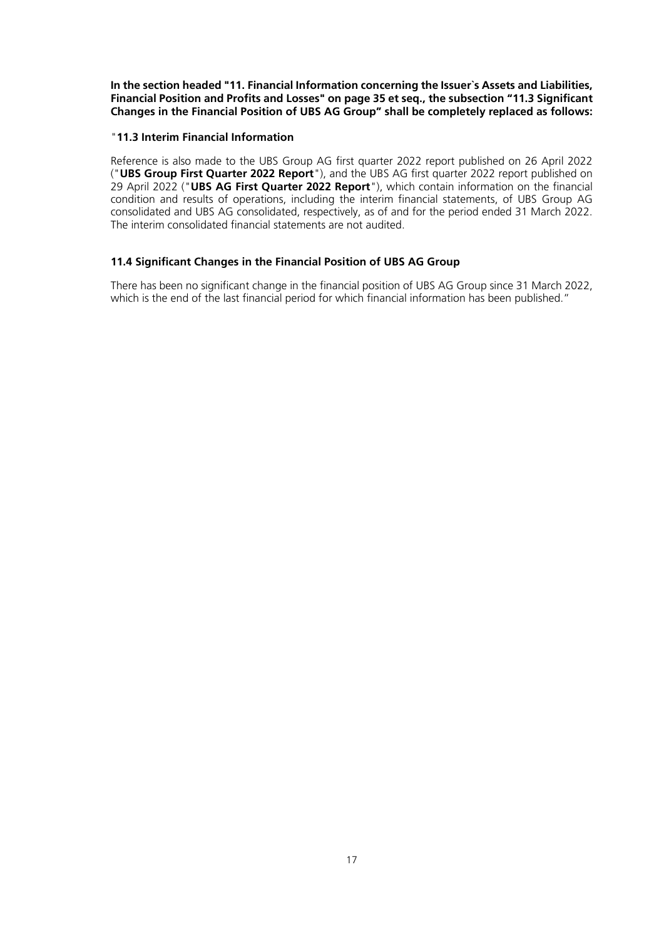**In the section headed "11. Financial Information concerning the Issuer`s Assets and Liabilities, Financial Position and Profits and Losses" on page 35 et seq., the subsection "11.3 Significant Changes in the Financial Position of UBS AG Group" shall be completely replaced as follows:**

### "**11.3 Interim Financial Information**

Reference is also made to the UBS Group AG first quarter 2022 report published on 26 April 2022 ("**UBS Group First Quarter 2022 Report**"), and the UBS AG first quarter 2022 report published on 29 April 2022 ("**UBS AG First Quarter 2022 Report**"), which contain information on the financial condition and results of operations, including the interim financial statements, of UBS Group AG consolidated and UBS AG consolidated, respectively, as of and for the period ended 31 March 2022. The interim consolidated financial statements are not audited.

### **11.4 Significant Changes in the Financial Position of UBS AG Group**

There has been no significant change in the financial position of UBS AG Group since 31 March 2022, which is the end of the last financial period for which financial information has been published."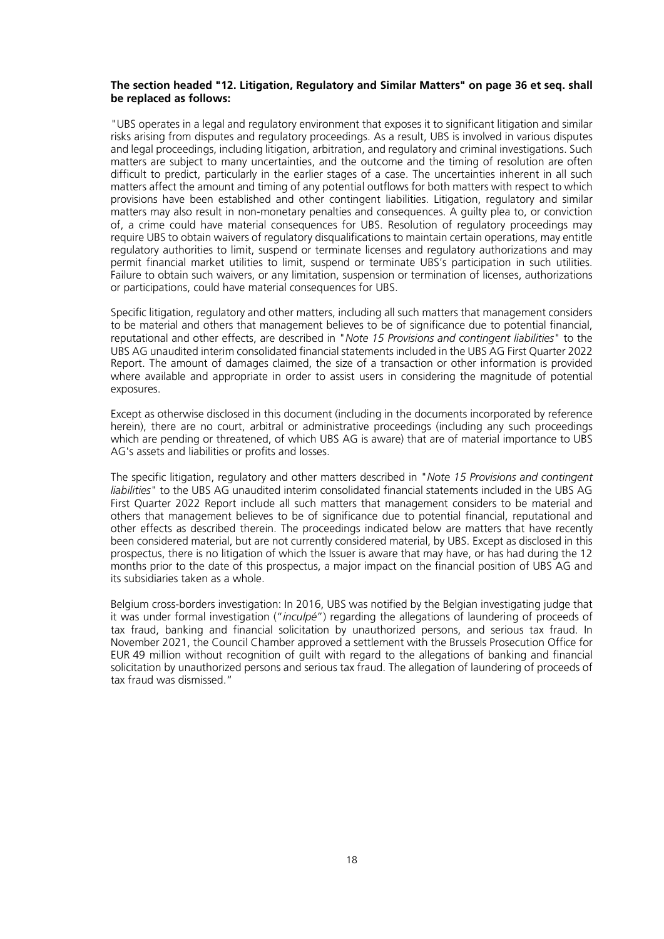#### **The section headed "12. Litigation, Regulatory and Similar Matters" on page 36 et seq. shall be replaced as follows:**

"UBS operates in a legal and regulatory environment that exposes it to significant litigation and similar risks arising from disputes and regulatory proceedings. As a result, UBS is involved in various disputes and legal proceedings, including litigation, arbitration, and regulatory and criminal investigations. Such matters are subject to many uncertainties, and the outcome and the timing of resolution are often difficult to predict, particularly in the earlier stages of a case. The uncertainties inherent in all such matters affect the amount and timing of any potential outflows for both matters with respect to which provisions have been established and other contingent liabilities. Litigation, regulatory and similar matters may also result in non-monetary penalties and consequences. A guilty plea to, or conviction of, a crime could have material consequences for UBS. Resolution of regulatory proceedings may require UBS to obtain waivers of regulatory disqualifications to maintain certain operations, may entitle regulatory authorities to limit, suspend or terminate licenses and regulatory authorizations and may permit financial market utilities to limit, suspend or terminate UBS's participation in such utilities. Failure to obtain such waivers, or any limitation, suspension or termination of licenses, authorizations or participations, could have material consequences for UBS.

Specific litigation, regulatory and other matters, including all such matters that management considers to be material and others that management believes to be of significance due to potential financial, reputational and other effects, are described in "*Note 15 Provisions and contingent liabilities*" to the UBS AG unaudited interim consolidated financial statements included in the UBS AG First Quarter 2022 Report. The amount of damages claimed, the size of a transaction or other information is provided where available and appropriate in order to assist users in considering the magnitude of potential exposures.

Except as otherwise disclosed in this document (including in the documents incorporated by reference herein), there are no court, arbitral or administrative proceedings (including any such proceedings which are pending or threatened, of which UBS AG is aware) that are of material importance to UBS AG's assets and liabilities or profits and losses.

The specific litigation, regulatory and other matters described in "*Note 15 Provisions and contingent liabilities*" to the UBS AG unaudited interim consolidated financial statements included in the UBS AG First Quarter 2022 Report include all such matters that management considers to be material and others that management believes to be of significance due to potential financial, reputational and other effects as described therein. The proceedings indicated below are matters that have recently been considered material, but are not currently considered material, by UBS. Except as disclosed in this prospectus, there is no litigation of which the Issuer is aware that may have, or has had during the 12 months prior to the date of this prospectus, a major impact on the financial position of UBS AG and its subsidiaries taken as a whole.

Belgium cross-borders investigation: In 2016, UBS was notified by the Belgian investigating judge that it was under formal investigation ("*inculpé*") regarding the allegations of laundering of proceeds of tax fraud, banking and financial solicitation by unauthorized persons, and serious tax fraud. In November 2021, the Council Chamber approved a settlement with the Brussels Prosecution Office for EUR 49 million without recognition of guilt with regard to the allegations of banking and financial solicitation by unauthorized persons and serious tax fraud. The allegation of laundering of proceeds of tax fraud was dismissed."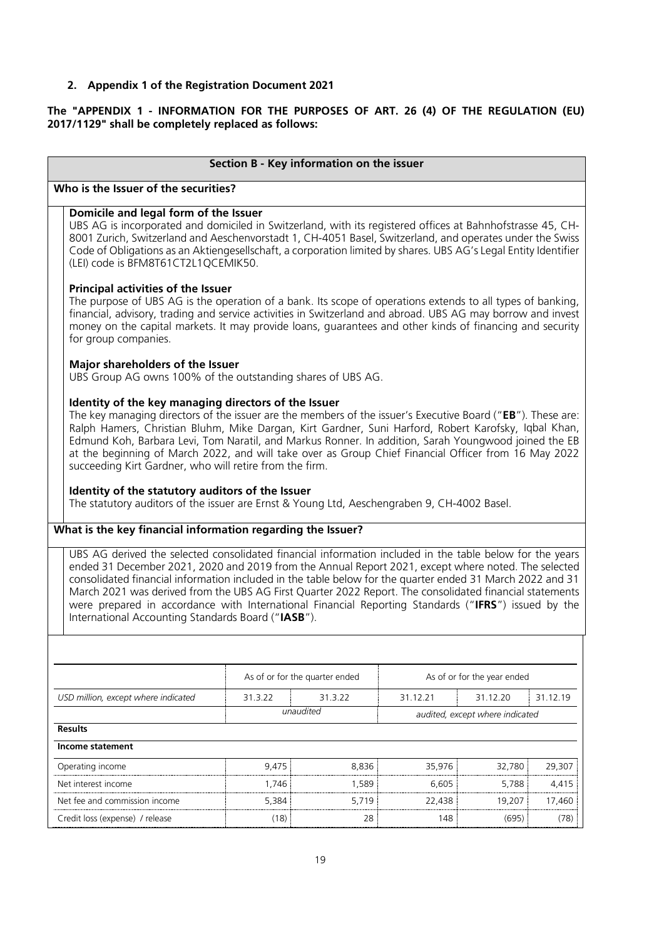## <span id="page-18-0"></span>**2. Appendix 1 of the Registration Document 2021**

### **The "APPENDIX 1 - INFORMATION FOR THE PURPOSES OF ART. 26 (4) OF THE REGULATION (EU) 2017/1129" shall be completely replaced as follows:**

|                                                                                                                                                                                                                                                                                                                                                                                                                                                                                                                                                                                                                                                                                                           |         | Section B - Key information on the issuer |          |                                 |          |
|-----------------------------------------------------------------------------------------------------------------------------------------------------------------------------------------------------------------------------------------------------------------------------------------------------------------------------------------------------------------------------------------------------------------------------------------------------------------------------------------------------------------------------------------------------------------------------------------------------------------------------------------------------------------------------------------------------------|---------|-------------------------------------------|----------|---------------------------------|----------|
| Who is the Issuer of the securities?                                                                                                                                                                                                                                                                                                                                                                                                                                                                                                                                                                                                                                                                      |         |                                           |          |                                 |          |
| Domicile and legal form of the Issuer<br>UBS AG is incorporated and domiciled in Switzerland, with its registered offices at Bahnhofstrasse 45, CH-<br>8001 Zurich, Switzerland and Aeschenvorstadt 1, CH-4051 Basel, Switzerland, and operates under the Swiss<br>Code of Obligations as an Aktiengesellschaft, a corporation limited by shares. UBS AG's Legal Entity Identifier<br>(LEI) code is BFM8T61CT2L1QCEMIK50.                                                                                                                                                                                                                                                                                 |         |                                           |          |                                 |          |
| <b>Principal activities of the Issuer</b><br>The purpose of UBS AG is the operation of a bank. Its scope of operations extends to all types of banking,<br>financial, advisory, trading and service activities in Switzerland and abroad. UBS AG may borrow and invest<br>money on the capital markets. It may provide loans, guarantees and other kinds of financing and security<br>for group companies.                                                                                                                                                                                                                                                                                                |         |                                           |          |                                 |          |
| Major shareholders of the Issuer<br>UBS Group AG owns 100% of the outstanding shares of UBS AG.                                                                                                                                                                                                                                                                                                                                                                                                                                                                                                                                                                                                           |         |                                           |          |                                 |          |
| Identity of the key managing directors of the Issuer<br>The key managing directors of the issuer are the members of the issuer's Executive Board ("EB"). These are:<br>Ralph Hamers, Christian Bluhm, Mike Dargan, Kirt Gardner, Suni Harford, Robert Karofsky, Iqbal Khan,<br>Edmund Koh, Barbara Levi, Tom Naratil, and Markus Ronner. In addition, Sarah Youngwood joined the EB<br>at the beginning of March 2022, and will take over as Group Chief Financial Officer from 16 May 2022<br>succeeding Kirt Gardner, who will retire from the firm.<br>Identity of the statutory auditors of the Issuer<br>The statutory auditors of the issuer are Ernst & Young Ltd, Aeschengraben 9, CH-4002 Basel. |         |                                           |          |                                 |          |
| What is the key financial information regarding the Issuer?                                                                                                                                                                                                                                                                                                                                                                                                                                                                                                                                                                                                                                               |         |                                           |          |                                 |          |
| UBS AG derived the selected consolidated financial information included in the table below for the years<br>ended 31 December 2021, 2020 and 2019 from the Annual Report 2021, except where noted. The selected<br>consolidated financial information included in the table below for the quarter ended 31 March 2022 and 31<br>March 2021 was derived from the UBS AG First Quarter 2022 Report. The consolidated financial statements<br>were prepared in accordance with International Financial Reporting Standards ("IFRS") issued by the<br>International Accounting Standards Board ("IASB").                                                                                                      |         |                                           |          |                                 |          |
|                                                                                                                                                                                                                                                                                                                                                                                                                                                                                                                                                                                                                                                                                                           |         |                                           |          |                                 |          |
|                                                                                                                                                                                                                                                                                                                                                                                                                                                                                                                                                                                                                                                                                                           |         | As of or for the quarter ended            |          | As of or for the year ended     |          |
| USD million, except where indicated                                                                                                                                                                                                                                                                                                                                                                                                                                                                                                                                                                                                                                                                       | 31.3.22 | 31.3.22                                   | 31.12.21 | 31.12.20                        | 31.12.19 |
|                                                                                                                                                                                                                                                                                                                                                                                                                                                                                                                                                                                                                                                                                                           |         | unaudited                                 |          | audited, except where indicated |          |
| <b>Results</b><br>Income statement                                                                                                                                                                                                                                                                                                                                                                                                                                                                                                                                                                                                                                                                        |         |                                           |          |                                 |          |
| Operating income                                                                                                                                                                                                                                                                                                                                                                                                                                                                                                                                                                                                                                                                                          | 9,475   | 8,836                                     | 35,976   | 32,780                          | 29,307   |
| Net interest income                                                                                                                                                                                                                                                                                                                                                                                                                                                                                                                                                                                                                                                                                       | 1,746   | 1,589                                     | 6,605    | 5,788                           | 4,415    |
| Net fee and commission income                                                                                                                                                                                                                                                                                                                                                                                                                                                                                                                                                                                                                                                                             | 5,384   | 5,719                                     | 22,438   | 19,207                          | 17,460   |
| Credit loss (expense) / release                                                                                                                                                                                                                                                                                                                                                                                                                                                                                                                                                                                                                                                                           | (18)    | 28                                        | 148      | (695)                           | (78)     |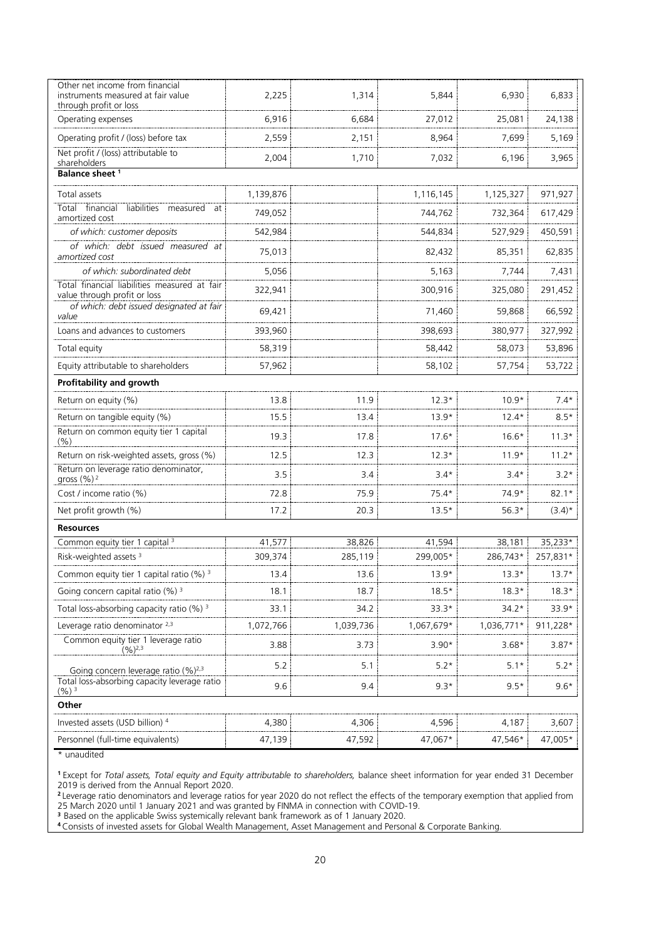| Other net income from financial<br>instruments measured at fair value<br>through profit or loss | 2,225     | 1,314     | 5,844      | 6,930      | 6,833     |
|-------------------------------------------------------------------------------------------------|-----------|-----------|------------|------------|-----------|
| Operating expenses                                                                              | 6,916     | 6,684     | 27,012     | 25,081     | 24,138    |
| Operating profit / (loss) before tax                                                            | 2,559     | 2,151     | 8,964      | 7,699      | 5,169     |
| Net profit / (loss) attributable to<br>shareholders                                             | 2,004     | 1,710     | 7,032      | 6,196      | 3,965     |
| Balance sheet <sup>1</sup>                                                                      |           |           |            |            |           |
| Total assets                                                                                    | 1,139,876 |           | 1,116,145  | 1,125,327  | 971,927   |
| Total financial<br>liabilities measured<br>at                                                   | 749,052   |           | 744,762    | 732,364    | 617,429   |
| amortized cost<br>of which: customer deposits                                                   | 542,984   |           | 544,834    | 527,929    | 450,591   |
| of which: debt issued measured at                                                               |           |           |            |            |           |
| amortized cost                                                                                  | 75,013    |           | 82,432     | 85,351     | 62,835    |
| of which: subordinated debt<br>Total financial liabilities measured at fair                     | 5,056     |           | 5,163      | 7,744      | 7,431     |
| value through profit or loss                                                                    | 322,941   |           | 300,916    | 325,080    | 291,452   |
| of which: debt issued designated at fair<br>value                                               | 69,421    |           | 71,460     | 59,868     | 66,592    |
| Loans and advances to customers                                                                 | 393,960   |           | 398,693    | 380,977    | 327,992   |
| Total equity                                                                                    | 58,319    |           | 58,442     | 58,073     | 53,896    |
| Equity attributable to shareholders                                                             | 57,962    |           | 58,102     | 57,754     | 53,722    |
| Profitability and growth                                                                        |           |           |            |            |           |
| Return on equity (%)                                                                            | 13.8      | 11.9      | $12.3*$    | $10.9*$    | $7.4*$    |
| Return on tangible equity (%)                                                                   | 15.5      | 13.4      | $13.9*$    | $12.4*$    | $8.5*$    |
| Return on common equity tier 1 capital<br>(% )                                                  | 19.3      | 17.8      | $17.6*$    | $16.6*$    | $11.3*$   |
| Return on risk-weighted assets, gross (%)                                                       | 12.5      | 12.3      | $12.3*$    | $11.9*$    | $11.2*$   |
| Return on leverage ratio denominator,<br>gross $(\%)$ <sup>2</sup>                              | 3.5       | 3.4       | $3.4*$     | $3.4*$     | $3.2*$    |
| Cost / income ratio (%)                                                                         | 72.8      | 75.9      | $75.4*$    | 74.9*      | $82.1*$   |
| Net profit growth (%)                                                                           | 17.2      | 20.3      | $13.5*$    | $56.3*$    | $(3.4)^*$ |
| <b>Resources</b>                                                                                |           |           |            |            |           |
| Common equity tier 1 capital <sup>3</sup>                                                       | 41,577    | 38,826    | 41,594     | 38,181     | 35,233*   |
| Risk-weighted assets <sup>3</sup>                                                               | 309,374   | 285,119   | 299,005*   | 286,743*   | 257,831*  |
| Common equity tier 1 capital ratio (%) 3                                                        | 13.4      | 13.6      | $13.9*$    | $13.3*$    | $13.7*$   |
| Going concern capital ratio (%) <sup>3</sup>                                                    | 18.1      | 18.7      | $18.5*$    | $18.3*$    | $18.3*$   |
| Total loss-absorbing capacity ratio (%) <sup>3</sup>                                            | 33.1      | 34.2      | $33.3*$    | $34.2*$    | 33.9*     |
| Leverage ratio denominator 2,3<br>Common equity tier 1 leverage ratio                           | 1,072,766 | 1,039,736 | 1,067,679* | 1,036,771* | 911,228*  |
| $(96)^{2,3}$                                                                                    | 3.88      | 3.73      | $3.90*$    | $3.68*$    | $3.87*$   |
| Going concern leverage ratio (%) <sup>2,3</sup>                                                 | 5.2       | 5.1       | $5.2*$     | $5.1*$     | $5.2*$    |
| Total loss-absorbing capacity leverage ratio<br>$(%)^3$                                         | 9.6       | 9.4       | $9.3*$     | $9.5*$     | $9.6*$    |
| Other                                                                                           |           |           |            |            |           |
| Invested assets (USD billion) 4                                                                 | 4,380     | 4,306     | 4,596      | 4,187      | 3,607     |
| Personnel (full-time equivalents)                                                               | 47,139    | 47,592    | 47,067*    | 47,546*    | 47,005*   |

\* unaudited

**<sup>1</sup>**Except for *Total assets, Total equity and Equity attributable to shareholders,* balance sheet information for year ended 31 December 2019 is derived from the Annual Report 2020.

**<sup>2</sup>**Leverage ratio denominators and leverage ratios for year 2020 do not reflect the effects of the temporary exemption that applied from 25 March 2020 until 1 January 2021 and was granted by FINMA in connection with COVID-19.

**<sup>3</sup>**Based on the applicable Swiss systemically relevant bank framework as of 1 January 2020.

**<sup>4</sup>**Consists of invested assets for Global Wealth Management, Asset Management and Personal & Corporate Banking.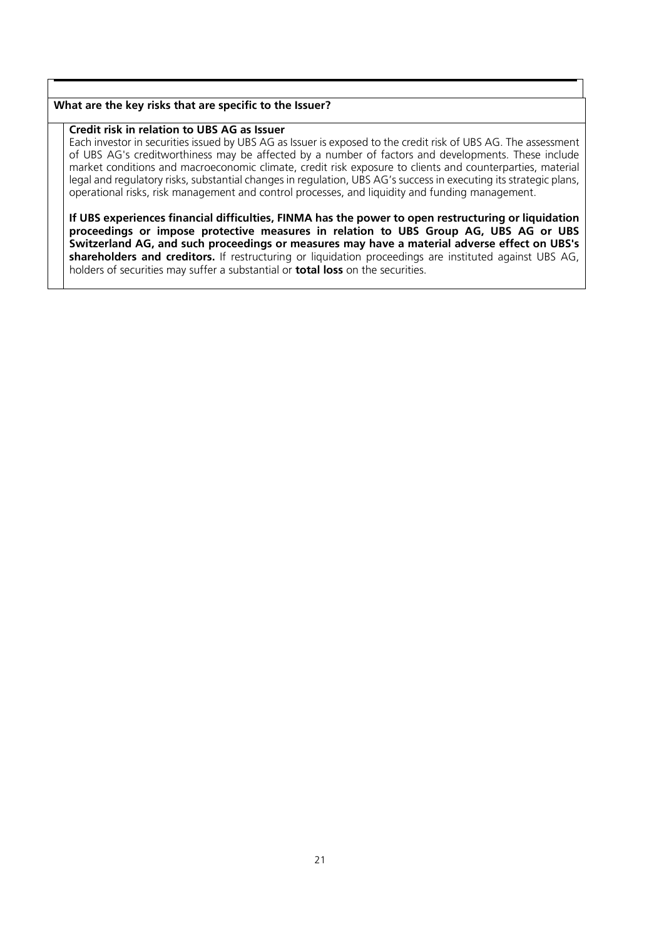### **What are the key risks that are specific to the Issuer?**

# **Credit risk in relation to UBS AG as Issuer**

Each investor in securities issued by UBS AG as Issuer is exposed to the credit risk of UBS AG. The assessment of UBS AG's creditworthiness may be affected by a number of factors and developments. These include market conditions and macroeconomic climate, credit risk exposure to clients and counterparties, material legal and regulatory risks, substantial changes in regulation, UBS AG's success in executing its strategic plans, operational risks, risk management and control processes, and liquidity and funding management.

**If UBS experiences financial difficulties, FINMA has the power to open restructuring or liquidation proceedings or impose protective measures in relation to UBS Group AG, UBS AG or UBS Switzerland AG, and such proceedings or measures may have a material adverse effect on UBS's shareholders and creditors.** If restructuring or liquidation proceedings are instituted against UBS AG, holders of securities may suffer a substantial or **total loss** on the securities.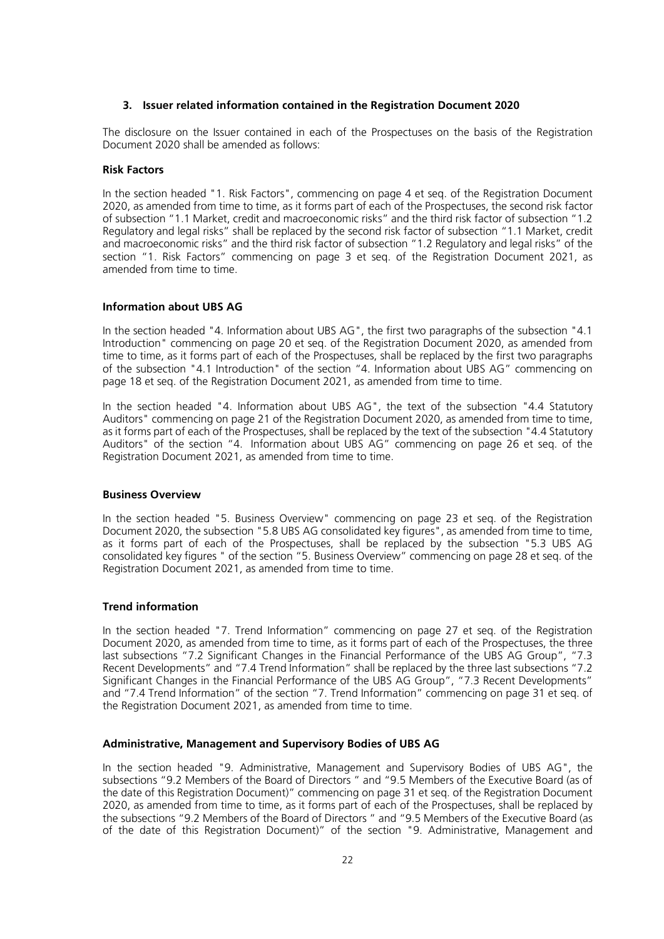#### <span id="page-21-0"></span>**3. Issuer related information contained in the Registration Document 2020**

The disclosure on the Issuer contained in each of the Prospectuses on the basis of the Registration Document 2020 shall be amended as follows:

#### **Risk Factors**

In the section headed "1. Risk Factors", commencing on page 4 et seq. of the Registration Document 2020, as amended from time to time, as it forms part of each of the Prospectuses, the second risk factor of subsection "1.1 Market, credit and macroeconomic risks" and the third risk factor of subsection "1.2 Regulatory and legal risks" shall be replaced by the second risk factor of subsection "1.1 Market, credit and macroeconomic risks" and the third risk factor of subsection "1.2 Regulatory and legal risks" of the section "1. Risk Factors" commencing on page 3 et seq. of the Registration Document 2021, as amended from time to time.

#### **Information about UBS AG**

In the section headed "4. Information about UBS AG", the first two paragraphs of the subsection "4.1 Introduction" commencing on page 20 et seq. of the Registration Document 2020, as amended from time to time, as it forms part of each of the Prospectuses, shall be replaced by the first two paragraphs of the subsection "4.1 Introduction" of the section "4. Information about UBS AG" commencing on page 18 et seq. of the Registration Document 2021, as amended from time to time.

In the section headed "4. Information about UBS AG", the text of the subsection "4.4 Statutory Auditors" commencing on page 21 of the Registration Document 2020, as amended from time to time, as it forms part of each of the Prospectuses, shall be replaced by the text of the subsection "4.4 Statutory Auditors" of the section "4. Information about UBS AG" commencing on page 26 et seq. of the Registration Document 2021, as amended from time to time.

#### **Business Overview**

In the section headed "5. Business Overview" commencing on page 23 et seq. of the Registration Document 2020, the subsection "5.8 UBS AG consolidated key figures", as amended from time to time, as it forms part of each of the Prospectuses, shall be replaced by the subsection "5.3 UBS AG consolidated key figures " of the section "5. Business Overview" commencing on page 28 et seq. of the Registration Document 2021, as amended from time to time.

#### **Trend information**

In the section headed "7. Trend Information" commencing on page 27 et seq. of the Registration Document 2020, as amended from time to time, as it forms part of each of the Prospectuses, the three last subsections "7.2 Significant Changes in the Financial Performance of the UBS AG Group", "7.3 Recent Developments" and "7.4 Trend Information" shall be replaced by the three last subsections "7.2 Significant Changes in the Financial Performance of the UBS AG Group", "7.3 Recent Developments" and "7.4 Trend Information" of the section "7. Trend Information" commencing on page 31 et seq. of the Registration Document 2021, as amended from time to time.

#### **Administrative, Management and Supervisory Bodies of UBS AG**

In the section headed "9. Administrative, Management and Supervisory Bodies of UBS AG", the subsections "9.2 Members of the Board of Directors " and "9.5 Members of the Executive Board (as of the date of this Registration Document)" commencing on page 31 et seq. of the Registration Document 2020, as amended from time to time, as it forms part of each of the Prospectuses, shall be replaced by the subsections "9.2 Members of the Board of Directors " and "9.5 Members of the Executive Board (as of the date of this Registration Document)" of the section "9. Administrative, Management and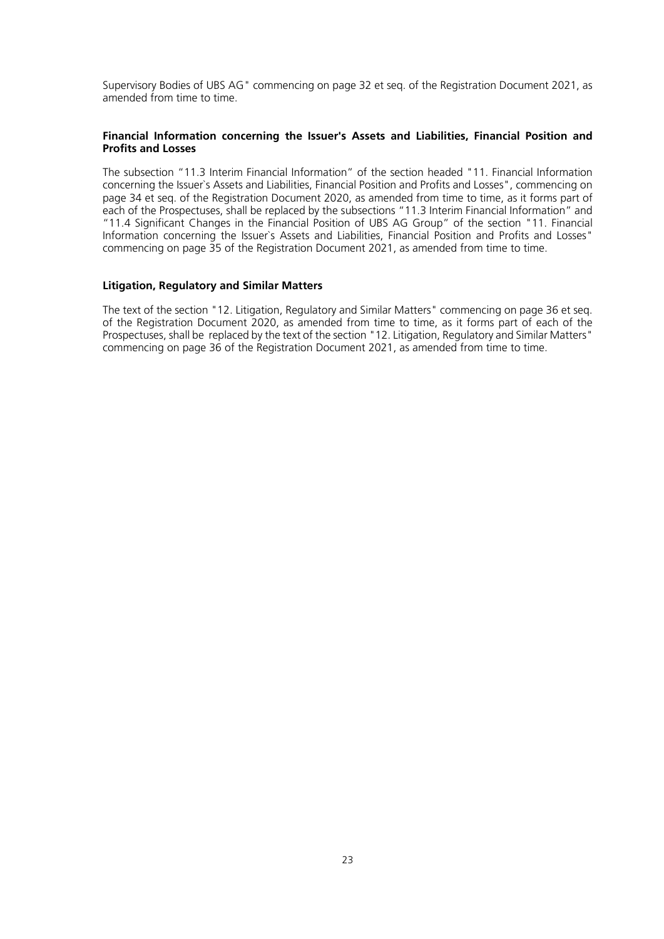Supervisory Bodies of UBS AG" commencing on page 32 et seq. of the Registration Document 2021, as amended from time to time.

### **Financial Information concerning the Issuer's Assets and Liabilities, Financial Position and Profits and Losses**

The subsection "11.3 Interim Financial Information" of the section headed "11. Financial Information concerning the Issuer`s Assets and Liabilities, Financial Position and Profits and Losses", commencing on page 34 et seq. of the Registration Document 2020, as amended from time to time, as it forms part of each of the Prospectuses, shall be replaced by the subsections "11.3 Interim Financial Information" and "11.4 Significant Changes in the Financial Position of UBS AG Group" of the section "11. Financial Information concerning the Issuer`s Assets and Liabilities, Financial Position and Profits and Losses" commencing on page 35 of the Registration Document 2021, as amended from time to time.

### **Litigation, Regulatory and Similar Matters**

The text of the section "12. Litigation, Regulatory and Similar Matters" commencing on page 36 et seq. of the Registration Document 2020, as amended from time to time, as it forms part of each of the Prospectuses, shall be replaced by the text of the section "12. Litigation, Regulatory and Similar Matters" commencing on page 36 of the Registration Document 2021, as amended from time to time.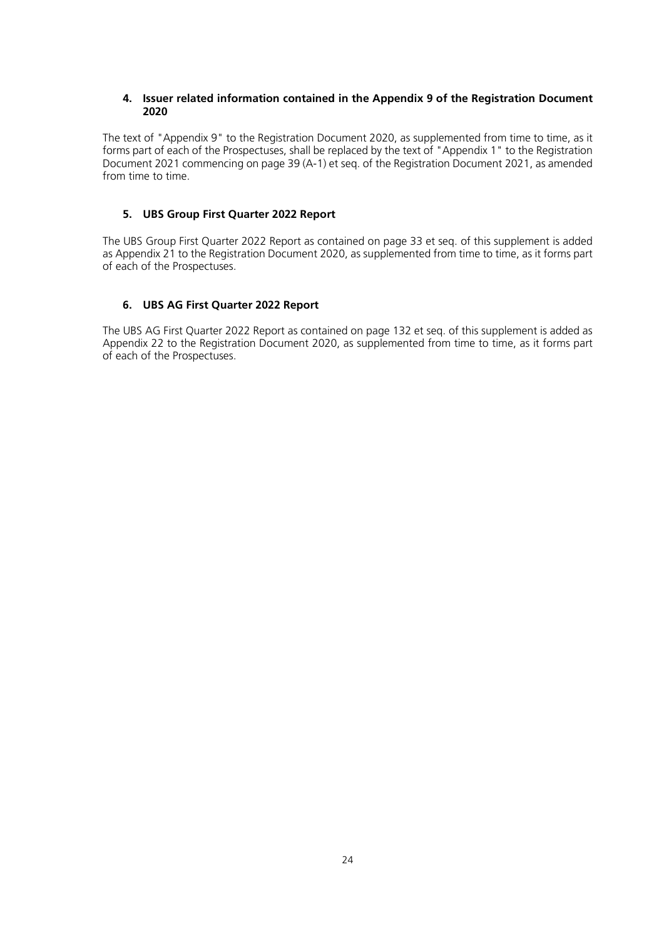### <span id="page-23-0"></span>**4. Issuer related information contained in the Appendix 9 of the Registration Document 2020**

The text of "Appendix 9" to the Registration Document 2020, as supplemented from time to time, as it forms part of each of the Prospectuses, shall be replaced by the text of "Appendix 1" to the Registration Document 2021 commencing on page 39 (A-1) et seq. of the Registration Document 2021, as amended from time to time.

## <span id="page-23-1"></span>**5. UBS Group First Quarter 2022 Report**

The UBS Group First Quarter 2022 Report as contained on page 33 et seq. of this supplement is added as Appendix 21 to the Registration Document 2020, as supplemented from time to time, as it forms part of each of the Prospectuses.

## <span id="page-23-2"></span>**6. UBS AG First Quarter 2022 Report**

The UBS AG First Quarter 2022 Report as contained on page 132 et seq. of this supplement is added as Appendix 22 to the Registration Document 2020, as supplemented from time to time, as it forms part of each of the Prospectuses.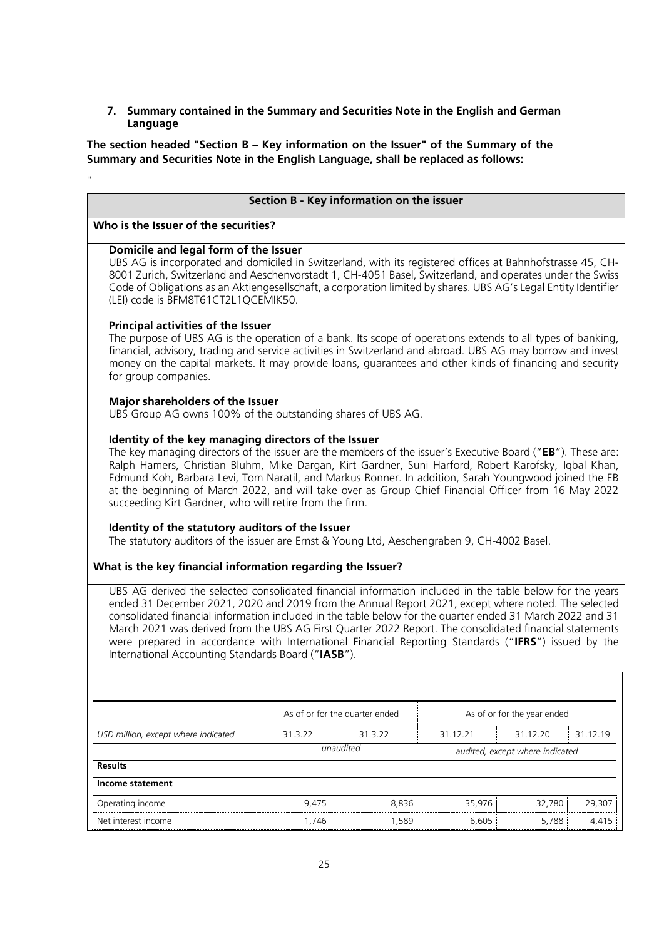## <span id="page-24-0"></span>**7. Summary contained in the Summary and Securities Note in the English and German Language**

**The section headed "Section B – Key information on the Issuer" of the Summary of the Summary and Securities Note in the English Language, shall be replaced as follows:**

 $\mathbf{u}$ 

| Section B - Key information on the issuer                                                                                                                                                                                                                                                                                                                                                                                                                                                                                                                                                                                                                                                                 |                                |           |                             |                                 |          |
|-----------------------------------------------------------------------------------------------------------------------------------------------------------------------------------------------------------------------------------------------------------------------------------------------------------------------------------------------------------------------------------------------------------------------------------------------------------------------------------------------------------------------------------------------------------------------------------------------------------------------------------------------------------------------------------------------------------|--------------------------------|-----------|-----------------------------|---------------------------------|----------|
| Who is the Issuer of the securities?                                                                                                                                                                                                                                                                                                                                                                                                                                                                                                                                                                                                                                                                      |                                |           |                             |                                 |          |
| Domicile and legal form of the Issuer<br>UBS AG is incorporated and domiciled in Switzerland, with its registered offices at Bahnhofstrasse 45, CH-<br>8001 Zurich, Switzerland and Aeschenvorstadt 1, CH-4051 Basel, Switzerland, and operates under the Swiss<br>Code of Obligations as an Aktiengesellschaft, a corporation limited by shares. UBS AG's Legal Entity Identifier<br>(LEI) code is BFM8T61CT2L1QCEMIK50.                                                                                                                                                                                                                                                                                 |                                |           |                             |                                 |          |
| <b>Principal activities of the Issuer</b><br>The purpose of UBS AG is the operation of a bank. Its scope of operations extends to all types of banking,<br>financial, advisory, trading and service activities in Switzerland and abroad. UBS AG may borrow and invest<br>money on the capital markets. It may provide loans, guarantees and other kinds of financing and security<br>for group companies.                                                                                                                                                                                                                                                                                                |                                |           |                             |                                 |          |
| Major shareholders of the Issuer<br>UBS Group AG owns 100% of the outstanding shares of UBS AG.                                                                                                                                                                                                                                                                                                                                                                                                                                                                                                                                                                                                           |                                |           |                             |                                 |          |
| Identity of the key managing directors of the Issuer<br>The key managing directors of the issuer are the members of the issuer's Executive Board ("EB"). These are:<br>Ralph Hamers, Christian Bluhm, Mike Dargan, Kirt Gardner, Suni Harford, Robert Karofsky, Igbal Khan,<br>Edmund Koh, Barbara Levi, Tom Naratil, and Markus Ronner. In addition, Sarah Youngwood joined the EB<br>at the beginning of March 2022, and will take over as Group Chief Financial Officer from 16 May 2022<br>succeeding Kirt Gardner, who will retire from the firm.<br>Identity of the statutory auditors of the Issuer<br>The statutory auditors of the issuer are Ernst & Young Ltd, Aeschengraben 9, CH-4002 Basel. |                                |           |                             |                                 |          |
| What is the key financial information regarding the Issuer?                                                                                                                                                                                                                                                                                                                                                                                                                                                                                                                                                                                                                                               |                                |           |                             |                                 |          |
| UBS AG derived the selected consolidated financial information included in the table below for the years<br>ended 31 December 2021, 2020 and 2019 from the Annual Report 2021, except where noted. The selected<br>consolidated financial information included in the table below for the quarter ended 31 March 2022 and 31<br>March 2021 was derived from the UBS AG First Quarter 2022 Report. The consolidated financial statements<br>were prepared in accordance with International Financial Reporting Standards ("IFRS") issued by the<br>International Accounting Standards Board ("IASB").                                                                                                      |                                |           |                             |                                 |          |
|                                                                                                                                                                                                                                                                                                                                                                                                                                                                                                                                                                                                                                                                                                           |                                |           |                             |                                 |          |
|                                                                                                                                                                                                                                                                                                                                                                                                                                                                                                                                                                                                                                                                                                           | As of or for the quarter ended |           | As of or for the year ended |                                 |          |
| USD million, except where indicated                                                                                                                                                                                                                                                                                                                                                                                                                                                                                                                                                                                                                                                                       | 31.3.22                        | 31.3.22   | 31.12.21<br>31.12.20        |                                 | 31.12.19 |
| <b>Results</b>                                                                                                                                                                                                                                                                                                                                                                                                                                                                                                                                                                                                                                                                                            |                                | unaudited |                             | audited, except where indicated |          |
| Income statement                                                                                                                                                                                                                                                                                                                                                                                                                                                                                                                                                                                                                                                                                          |                                |           |                             |                                 |          |
| Operating income                                                                                                                                                                                                                                                                                                                                                                                                                                                                                                                                                                                                                                                                                          | 9,475                          | 8,836     | 35,976                      | 32,780                          | 29,307   |
| Net interest income                                                                                                                                                                                                                                                                                                                                                                                                                                                                                                                                                                                                                                                                                       | 1,746                          | 1,589     | 6,605                       | 5,788                           | 4,415    |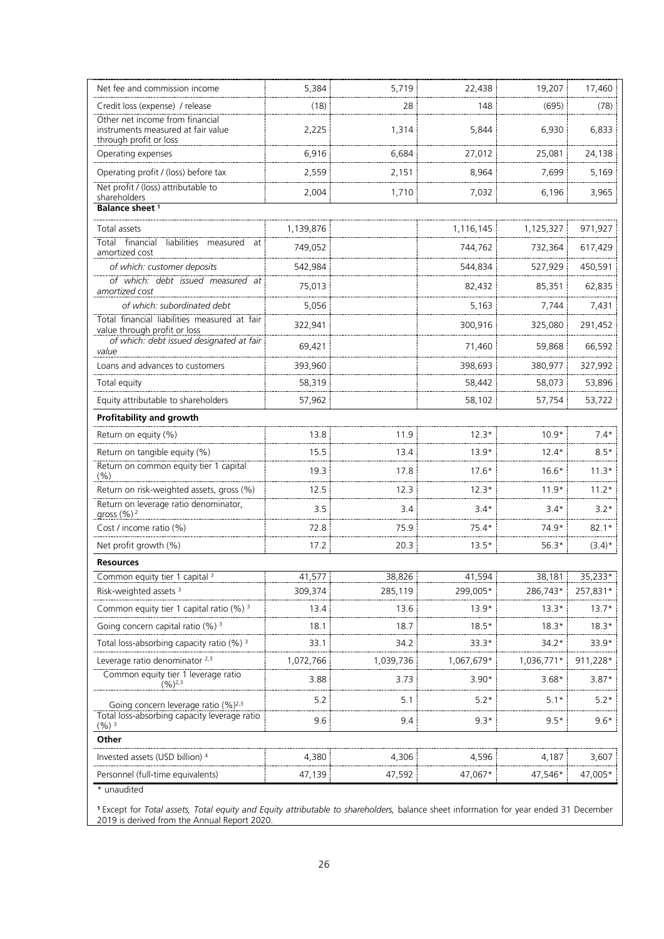| Net fee and commission income                                                                   | 5,384     | 5,719     | 22,438     | 19,207     | 17,460    |
|-------------------------------------------------------------------------------------------------|-----------|-----------|------------|------------|-----------|
| Credit loss (expense) / release                                                                 | (18)      | 28        | 148        | (695)      | (78)      |
| Other net income from financial<br>instruments measured at fair value<br>through profit or loss | 2,225     | 1,314     | 5,844      | 6,930      | 6,833     |
| Operating expenses                                                                              | 6,916     | 6,684     | 27,012     | 25,081     | 24,138    |
| Operating profit / (loss) before tax                                                            | 2,559     | 2,151     | 8,964      | 7,699      | 5,169     |
| Net profit / (loss) attributable to<br>shareholders                                             | 2,004     | 1,710     | 7,032      | 6,196      | 3,965     |
| Balance sheet <sup>1</sup>                                                                      |           |           |            |            |           |
| Total assets                                                                                    | 1,139,876 |           | 1,116,145  | 1,125,327  | 971,927   |
| Total financial<br>liabilities<br>measured<br>at<br>amortized cost                              | 749,052   |           | 744,762    | 732,364    | 617,429   |
| of which: customer deposits                                                                     | 542,984   |           | 544,834    | 527,929    | 450,591   |
| of which: debt issued measured at<br>amortized cost                                             | 75,013    |           | 82,432     | 85,351     | 62,835    |
| of which: subordinated debt                                                                     | 5,056     |           | 5,163      | 7,744      | 7,431     |
| Total financial liabilities measured at fair<br>value through profit or loss                    | 322,941   |           | 300,916    | 325,080    | 291,452   |
| of which: debt issued designated at fair<br>value                                               | 69,421    |           | 71,460     | 59,868     | 66,592    |
| Loans and advances to customers                                                                 | 393,960   |           | 398,693    | 380,977    | 327,992   |
| Total equity                                                                                    | 58,319    |           | 58,442     | 58,073     | 53,896    |
| Equity attributable to shareholders                                                             | 57,962    |           | 58,102     | 57,754     | 53,722    |
| <b>Profitability and growth</b>                                                                 |           |           |            |            |           |
| Return on equity (%)                                                                            | 13.8      | 11.9      | $12.3*$    | $10.9*$    | $7.4*$    |
| Return on tangible equity (%)                                                                   | 15.5      | 13.4      | $13.9*$    | $12.4*$    | $8.5*$    |
| Return on common equity tier 1 capital<br>(% )                                                  | 19.3      | 17.8      | $17.6*$    | $16.6*$    | $11.3*$   |
| Return on risk-weighted assets, gross (%)                                                       | 12.5      | 12.3      | $12.3*$    | $11.9*$    | $11.2*$   |
| Return on leverage ratio denominator,<br>gross (%) <sup>2</sup>                                 | 3.5       | 3.4       | $3.4*$     | $3.4*$     | $3.2*$    |
| Cost / income ratio (%)                                                                         | 72.8      | 75.9      | $75.4*$    | $74.9*$    | $82.1*$   |
| Net profit growth (%)                                                                           | 17.2      | 20.3      | $13.5*$    | $56.3*$    | $(3.4)^*$ |
| <b>Resources</b>                                                                                |           |           |            |            |           |
| Common equity tier 1 capital <sup>3</sup>                                                       | 41 577    | 38 826    | 41 594     | 38,181     | $3523*$   |
| Risk-weighted assets <sup>3</sup>                                                               | 309,374   | 285,119   | 299,005*   | 286,743*   | 257,831*  |
| Common equity tier 1 capital ratio (%) 3                                                        | 13.4      | 13.6      | $13.9*$    | $13.3*$    | $13.7*$   |
| Going concern capital ratio (%) <sup>3</sup>                                                    | 18.1      | 18.7      | $18.5*$    | $18.3*$    | $18.3*$   |
| Total loss-absorbing capacity ratio (%) <sup>3</sup>                                            | 33.1      | 34.2      | $33.3*$    | 34.2*      | $33.9*$   |
| Leverage ratio denominator 2,3                                                                  | 1,072,766 | 1,039,736 | 1,067,679* | 1,036,771* | 911,228*  |
| Common equity tier 1 leverage ratio<br>$(9/6)^{2,3}$                                            | 3.88      | 3.73      | $3.90*$    | $3.68*$    | $3.87*$   |
| Going concern leverage ratio (%) <sup>2,3</sup>                                                 | 5.2       | 5.1       | $5.2*$     | $5.1*$     | $5.2*$    |
| Total loss-absorbing capacity leverage ratio<br>$(%)^{3}$                                       | 9.6       | 9.4       | $9.3*$     | $9.5*$     | $9.6*$    |
| Other                                                                                           |           |           |            |            |           |
| Invested assets (USD billion) 4                                                                 | 4,380     | 4,306     | 4,596      | 4,187      | 3,607     |
| Personnel (full-time equivalents)                                                               | 47,139    | 47,592    | 47,067*    | 47,546*    | 47,005*   |
| * unaudited                                                                                     |           |           |            |            |           |

**<sup>1</sup>**Except for *Total assets, Total equity and Equity attributable to shareholders,* balance sheet information for year ended 31 December 2019 is derived from the Annual Report 2020.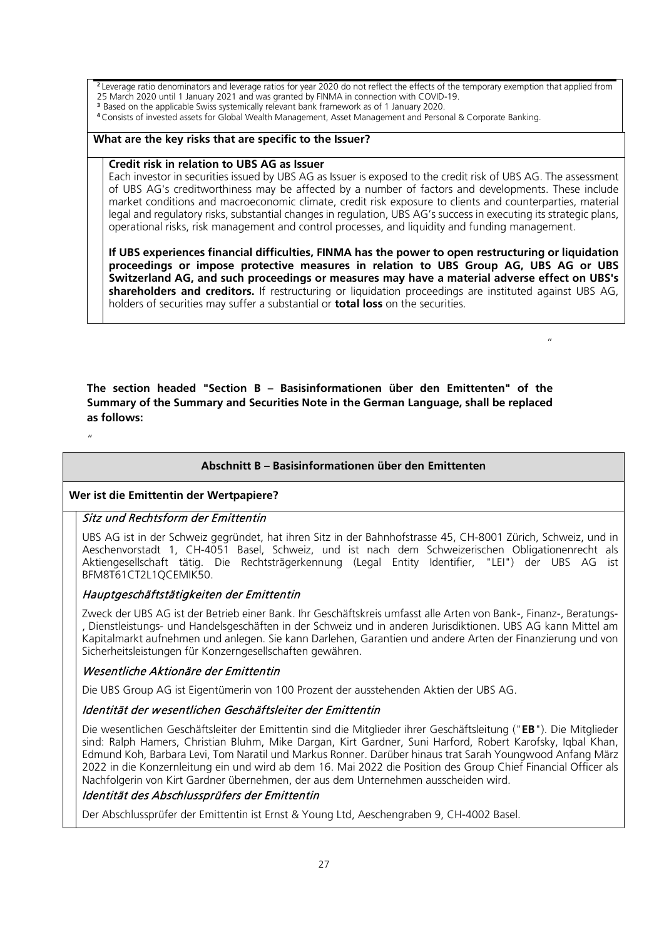**<sup>2</sup>**Leverage ratio denominators and leverage ratios for year 2020 do not reflect the effects of the temporary exemption that applied from 25 March 2020 until 1 January 2021 and was granted by FINMA in connection with COVID-19. <sup>3</sup> Based on the applicable Swiss systemically relevant bank framework as of 1 January 2020.

**<sup>4</sup>**Consists of invested assets for Global Wealth Management, Asset Management and Personal & Corporate Banking.

### **What are the key risks that are specific to the Issuer?**

#### **Credit risk in relation to UBS AG as Issuer**

Each investor in securities issued by UBS AG as Issuer is exposed to the credit risk of UBS AG. The assessment of UBS AG's creditworthiness may be affected by a number of factors and developments. These include market conditions and macroeconomic climate, credit risk exposure to clients and counterparties, material legal and regulatory risks, substantial changes in regulation, UBS AG's success in executing its strategic plans, operational risks, risk management and control processes, and liquidity and funding management.

**If UBS experiences financial difficulties, FINMA has the power to open restructuring or liquidation proceedings or impose protective measures in relation to UBS Group AG, UBS AG or UBS Switzerland AG, and such proceedings or measures may have a material adverse effect on UBS's shareholders and creditors.** If restructuring or liquidation proceedings are instituted against UBS AG, holders of securities may suffer a substantial or **total loss** on the securities.

 $"$ 

**The section headed "Section B – Basisinformationen über den Emittenten" of the Summary of the Summary and Securities Note in the German Language, shall be replaced as follows:**

"

## **Abschnitt B – Basisinformationen über den Emittenten**

## **Wer ist die Emittentin der Wertpapiere?**

## Sitz und Rechtsform der Emittentin

UBS AG ist in der Schweiz gegründet, hat ihren Sitz in der Bahnhofstrasse 45, CH-8001 Zürich, Schweiz, und in Aeschenvorstadt 1, CH-4051 Basel, Schweiz, und ist nach dem Schweizerischen Obligationenrecht als Aktiengesellschaft tätig. Die Rechtsträgerkennung (Legal Entity Identifier, "LEI") der UBS AG ist BFM8T61CT2L1QCEMIK50.

## Hauptgeschäftstätigkeiten der Emittentin

Zweck der UBS AG ist der Betrieb einer Bank. Ihr Geschäftskreis umfasst alle Arten von Bank-, Finanz-, Beratungs- , Dienstleistungs- und Handelsgeschäften in der Schweiz und in anderen Jurisdiktionen. UBS AG kann Mittel am Kapitalmarkt aufnehmen und anlegen. Sie kann Darlehen, Garantien und andere Arten der Finanzierung und von Sicherheitsleistungen für Konzerngesellschaften gewähren.

## Wesentliche Aktionäre der Emittentin

Die UBS Group AG ist Eigentümerin von 100 Prozent der ausstehenden Aktien der UBS AG.

## Identität der wesentlichen Geschäftsleiter der Emittentin

Die wesentlichen Geschäftsleiter der Emittentin sind die Mitglieder ihrer Geschäftsleitung ("**EB**"). Die Mitglieder sind: Ralph Hamers, Christian Bluhm, Mike Dargan, Kirt Gardner, Suni Harford, Robert Karofsky, Iqbal Khan, Edmund Koh, Barbara Levi, Tom Naratil und Markus Ronner. Darüber hinaus trat Sarah Youngwood Anfang März 2022 in die Konzernleitung ein und wird ab dem 16. Mai 2022 die Position des Group Chief Financial Officer als Nachfolgerin von Kirt Gardner übernehmen, der aus dem Unternehmen ausscheiden wird.

## Identität des Abschlussprüfers der Emittentin

Der Abschlussprüfer der Emittentin ist Ernst & Young Ltd, Aeschengraben 9, CH-4002 Basel.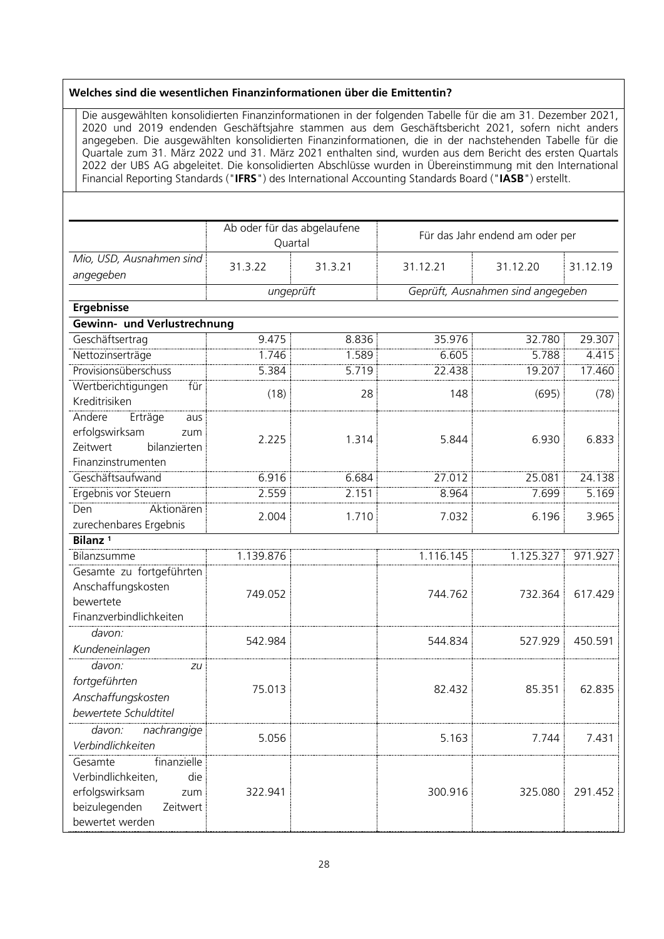#### **Welches sind die wesentlichen Finanzinformationen über die Emittentin?**

Die ausgewählten konsolidierten Finanzinformationen in der folgenden Tabelle für die am 31. Dezember 2021, 2020 und 2019 endenden Geschäftsjahre stammen aus dem Geschäftsbericht 2021, sofern nicht anders angegeben. Die ausgewählten konsolidierten Finanzinformationen, die in der nachstehenden Tabelle für die Quartale zum 31. März 2022 und 31. März 2021 enthalten sind, wurden aus dem Bericht des ersten Quartals 2022 der UBS AG abgeleitet. Die konsolidierten Abschlüsse wurden in Übereinstimmung mit den International Financial Reporting Standards ("**IFRS**") des International Accounting Standards Board ("**IASB**") erstellt.

|                                                                                                                              | Ab oder für das abgelaufene<br>Quartal |           | Für das Jahr endend am oder per   |           |          |
|------------------------------------------------------------------------------------------------------------------------------|----------------------------------------|-----------|-----------------------------------|-----------|----------|
| Mio, USD, Ausnahmen sind                                                                                                     | 31.3.22                                | 31.3.21   | 31.12.21                          | 31.12.20  | 31.12.19 |
| angegeben                                                                                                                    |                                        |           |                                   |           |          |
|                                                                                                                              |                                        | ungeprüft | Geprüft, Ausnahmen sind angegeben |           |          |
| <b>Ergebnisse</b>                                                                                                            |                                        |           |                                   |           |          |
| Gewinn- und Verlustrechnung                                                                                                  |                                        |           |                                   |           |          |
| Geschäftsertrag                                                                                                              | 9.475                                  | 8.836     | 35.976                            | 32.780    | 29.307   |
| Nettozinserträge                                                                                                             | 1.746                                  | 1.589     | 6.605                             | 5.788     | 4.415    |
| <u>Provisionsüberschuss</u>                                                                                                  | 5.384                                  | 5.719     | 22.438                            | 19.207    | 17.460   |
| Wertberichtigungen<br>für<br>Kreditrisiken                                                                                   | (18)                                   | 28        | 148                               | (695)     | (78)     |
| Andere<br>Erträge<br>aus<br>erfolgswirksam<br>zum<br>Zeitwert<br>bilanzierten<br>Finanzinstrumenten                          | 2.225                                  | 1.314     | 5.844                             | 6.930     | 6.833    |
| Geschäftsaufwand                                                                                                             | 6.916                                  | 6.684     | 27.012                            | 25.081    | 24.138   |
| Ergebnis vor Steuern                                                                                                         | 2.559                                  | 2.151     | 8.964                             | 7.699     | 5.169    |
| Aktionären<br>Den<br>zurechenbares Ergebnis                                                                                  | 2.004                                  | 1.710     | 7.032                             | 6.196     | 3.965    |
| Bilanz <sup>1</sup>                                                                                                          |                                        |           |                                   |           |          |
| Bilanzsumme                                                                                                                  | 1.139.876                              |           | 1.116.145                         | 1.125.327 | 971.927  |
| Gesamte zu fortgeführten<br>Anschaffungskosten<br>bewertete<br>Finanzverbindlichkeiten                                       | 749.052                                |           | 744.762                           | 732.364   | 617.429  |
| davon:<br>Kundeneinlagen                                                                                                     | 542.984                                |           | 544.834                           | 527.929   | 450.591  |
| davon:<br>zu<br>fortgeführten<br>Anschaffungskosten<br>bewertete Schuldtitel                                                 | 75.013                                 |           | 82.432                            | 85.351    | 62.835   |
| davon:<br>nachrangige<br>Verbindlichkeiten                                                                                   | 5.056                                  |           | 5.163                             | 7.744     | 7.431    |
| Gesamte<br>finanzielle<br>Verbindlichkeiten,<br>die<br>erfolgswirksam<br>zum<br>beizulegenden<br>Zeitwert<br>bewertet werden | 322.941                                |           | 300.916                           | 325.080   | 291.452  |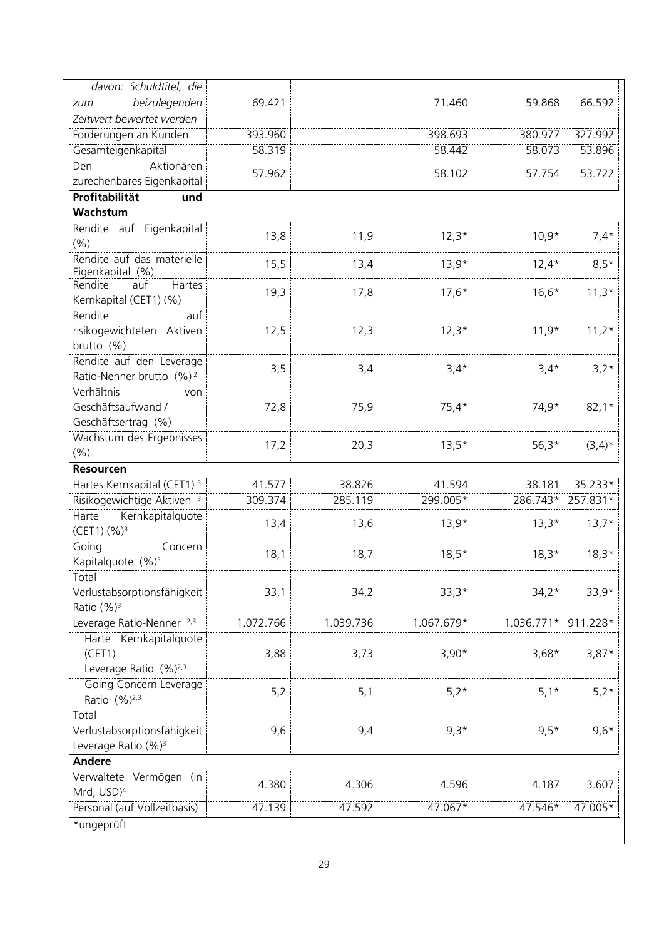| davon: Schuldtitel, die                    |           |           |            |              |           |
|--------------------------------------------|-----------|-----------|------------|--------------|-----------|
| beizulegenden<br>zum                       | 69.421    |           | 71.460     | 59.868       | 66.592    |
| Zeitwert bewertet werden                   |           |           |            |              |           |
| Forderungen an Kunden                      | 393.960   |           | 398.693    | 380.977      | 327.992   |
| Gesamteigenkapital                         | 58.319    |           | 58.442     | 58.073       | 53.896    |
| Den<br>Aktionären                          |           |           |            |              |           |
| zurechenbares Eigenkapital                 | 57.962    |           | 58.102     | 57.754       | 53.722    |
| Profitabilität<br>und                      |           |           |            |              |           |
| Wachstum                                   |           |           |            |              |           |
| Rendite auf Eigenkapital                   |           |           |            |              |           |
| (% )                                       | 13,8      | 11,9      | $12,3*$    | $10,9*$      | $7,4*$    |
| Rendite auf das materielle                 |           |           |            |              |           |
| Eigenkapital (%)                           | 15,5      | 13,4      | $13,9*$    | $12,4*$      | $8,5*$    |
| Rendite<br>Hartes<br>auf                   | 19,3      | 17,8      | $17,6*$    | $16,6*$      | $11,3*$   |
| Kernkapital (CET1) (%)                     |           |           |            |              |           |
| Rendite<br>auf                             |           |           |            |              |           |
| risikogewichteten Aktiven                  | 12,5      | 12,3      | $12,3*$    | $11,9*$      | $11,2*$   |
| brutto (%)                                 |           |           |            |              |           |
| Rendite auf den Leverage                   |           |           |            |              |           |
| Ratio-Nenner brutto (%) <sup>2</sup>       | 3,5       | 3,4       | $3,4*$     | $3,4*$       | $3,2*$    |
| Verhältnis<br>von                          |           |           |            |              |           |
| Geschäftsaufwand /                         | 72,8      | 75,9      | $75,4*$    | 74,9*        | $82,1*$   |
| Geschäftsertrag (%)                        |           |           |            |              |           |
| Wachstum des Ergebnisses                   |           |           |            |              |           |
| (% )                                       | 17,2      | 20,3      | $13,5*$    | $56,3*$      | $(3,4)^*$ |
|                                            |           |           |            |              |           |
| <b>Resourcen</b>                           |           |           |            |              |           |
|                                            |           |           |            |              |           |
| Hartes Kernkapital (CET1) <sup>3</sup>     | 41.577    | 38.826    | 41.594     | 38.181       | 35.233*   |
| Risikogewichtige Aktiven <sup>3</sup>      | 309.374   | 285.119   | 299.005*   | 286.743*     | 257.831*  |
| Kernkapitalquote<br>Harte                  | 13,4      | 13,6      | $13,9*$    | $13,3*$      | $13,7*$   |
| (CET1) (%) <sup>3</sup>                    |           |           |            |              |           |
| Going<br>Concern                           | 18,1      | 18,7      | $18,5*$    | $18,3*$      | $18,3*$   |
| Kapitalquote (%) <sup>3</sup>              |           |           |            |              |           |
| Total                                      |           |           |            |              |           |
| Verlustabsorptionsfähigkeit                | 33,1      | 34,2      | $33,3*$    | $34,2*$      | $33,9*$   |
| Ratio (%) <sup>3</sup>                     |           |           |            |              |           |
| Leverage Ratio-Nenner <sup>2,3</sup>       | 1.072.766 | 1.039.736 | 1.067.679* | $1.036.771*$ | 911.228*  |
| Harte Kernkapitalquote                     |           |           |            |              |           |
| (CET1)                                     | 3,88      | 3,73      | $3,90*$    | $3,68*$      | $3,87*$   |
| Leverage Ratio (%) <sup>2,3</sup>          |           |           |            |              |           |
| Going Concern Leverage                     | 5,2       | 5,1       | $5,2*$     | $5,1*$       | $5,2*$    |
| Ratio (%) <sup>2,3</sup>                   |           |           |            |              |           |
| Total                                      |           |           |            |              |           |
| Verlustabsorptionsfähigkeit                | 9,6       | 9,4       | $9,3*$     | $9,5*$       | $9,6*$    |
| Leverage Ratio (%) <sup>3</sup>            |           |           |            |              |           |
| <b>Andere</b>                              |           |           |            |              |           |
| Verwaltete Vermögen (in                    | 4.380     | 4.306     | 4.596      | 4.187        | 3.607     |
| Mrd, USD) <sup>4</sup>                     |           |           |            |              |           |
| Personal (auf Vollzeitbasis)<br>*ungeprüft | 47.139    | 47.592    | 47.067*    | 47.546*      | 47.005*   |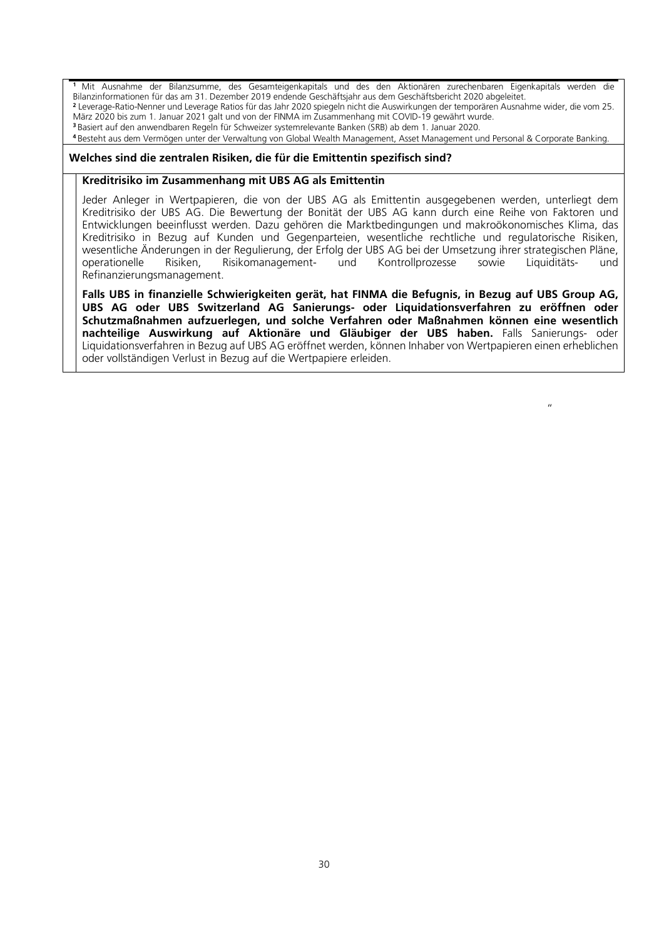**<sup>1</sup>** Mit Ausnahme der Bilanzsumme, des Gesamteigenkapitals und des den Aktionären zurechenbaren Eigenkapitals werden die Bilanzinformationen für das am 31. Dezember 2019 endende Geschäftsjahr aus dem Geschäftsbericht 2020 abgeleitet.

**<sup>2</sup>** Leverage-Ratio-Nenner und Leverage Ratios für das Jahr 2020 spiegeln nicht die Auswirkungen der temporären Ausnahme wider, die vom 25. März 2020 bis zum 1. Januar 2021 galt und von der FINMA im Zusammenhang mit COVID-19 gewährt wurde.

**<sup>3</sup>** Basiert auf den anwendbaren Regeln für Schweizer systemrelevante Banken (SRB) ab dem 1. Januar 2020.

**<sup>4</sup>** Besteht aus dem Vermögen unter der Verwaltung von Global Wealth Management, Asset Management und Personal & Corporate Banking.

### **Welches sind die zentralen Risiken, die für die Emittentin spezifisch sind?**

### **Kreditrisiko im Zusammenhang mit UBS AG als Emittentin**

Jeder Anleger in Wertpapieren, die von der UBS AG als Emittentin ausgegebenen werden, unterliegt dem Kreditrisiko der UBS AG. Die Bewertung der Bonität der UBS AG kann durch eine Reihe von Faktoren und Entwicklungen beeinflusst werden. Dazu gehören die Marktbedingungen und makroökonomisches Klima, das Kreditrisiko in Bezug auf Kunden und Gegenparteien, wesentliche rechtliche und regulatorische Risiken, wesentliche Änderungen in der Regulierung, der Erfolg der UBS AG bei der Umsetzung ihrer strategischen Pläne, operationelle Risiken, Risikomanagement- und Kontrollprozesse sowie Liquiditäts- und Refinanzierungsmanagement.

**Falls UBS in finanzielle Schwierigkeiten gerät, hat FINMA die Befugnis, in Bezug auf UBS Group AG, UBS AG oder UBS Switzerland AG Sanierungs- oder Liquidationsverfahren zu eröffnen oder Schutzmaßnahmen aufzuerlegen, und solche Verfahren oder Maßnahmen können eine wesentlich nachteilige Auswirkung auf Aktionäre und Gläubiger der UBS haben.** Falls Sanierungs- oder Liquidationsverfahren in Bezug auf UBS AG eröffnet werden, können Inhaber von Wertpapieren einen erheblichen oder vollständigen Verlust in Bezug auf die Wertpapiere erleiden.

 $"$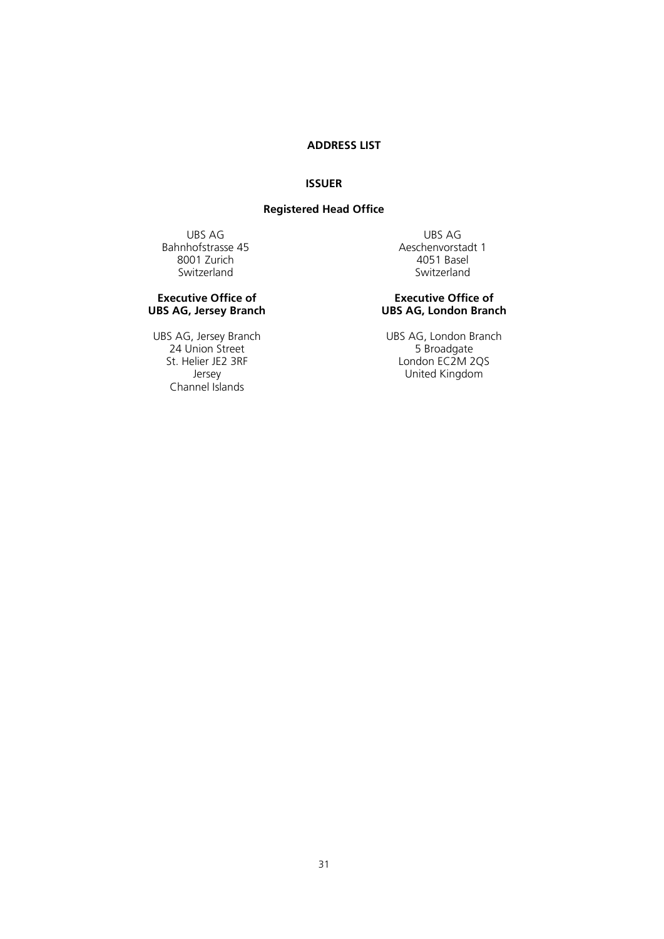# **ADDRESS LIST**

## **ISSUER**

## **Registered Head Office**

<span id="page-30-0"></span>Bahnhofstrasse 45 Aeschenvorstad<br>8001 Zurich 1980 Aeschenvorstad 8001 Zurich Switzerland Switzerland

#### **Executive Office of UBS AG, Jersey Branch**

24 Union Street<br>St. Helier JE2 3RF Channel Islands

UBS AG UBS AG UBS AG UBS AG UBS AG UBS AG UBS AG UBS AG UBS AG UBS AG UBS AG UBS AG UBS AG UBS AG UBS AG UBS AG UBS AG UBS AG UBS AG UBS AG UBS AG UBS AG UBS AG UBS AG UBS AG UBS AG UBS AG UBS AG UBS AG UBS AG UBS AG UBS A

#### **Executive Office of UBS AG, London Branch**

UBS AG, Jersey Branch<br>
24 Union Street 5 Broadgate<br>
5 Broadgate St. Helier JE2 3RF London EC2M 2QS United Kingdom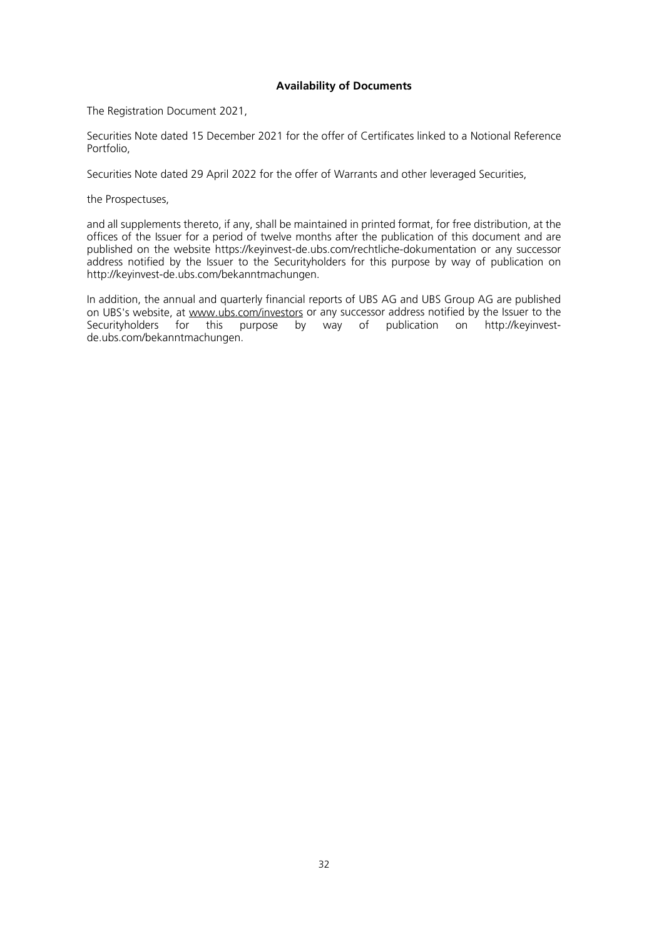### **Availability of Documents**

<span id="page-31-0"></span>The Registration Document 2021,

Securities Note dated 15 December 2021 for the offer of Certificates linked to a Notional Reference Portfolio,

Securities Note dated 29 April 2022 for the offer of Warrants and other leveraged Securities,

the Prospectuses,

and all supplements thereto, if any, shall be maintained in printed format, for free distribution, at the offices of the Issuer for a period of twelve months after the publication of this document and are published on the website<https://keyinvest-de.ubs.com/rechtliche-dokumentation> or any successor address notified by the Issuer to the Securityholders for this purpose by way of publication on http://keyinvest-de.ubs.com/bekanntmachungen.

In addition, the annual and quarterly financial reports of UBS AG and UBS Group AG are published on UBS's website, at [www.ubs.com/investors](http://www.ubs.com/investors) or any successor address notified by the Issuer to the Securityholders for this purpose by way of publication on http://keyinvestde.ubs.com/bekanntmachungen.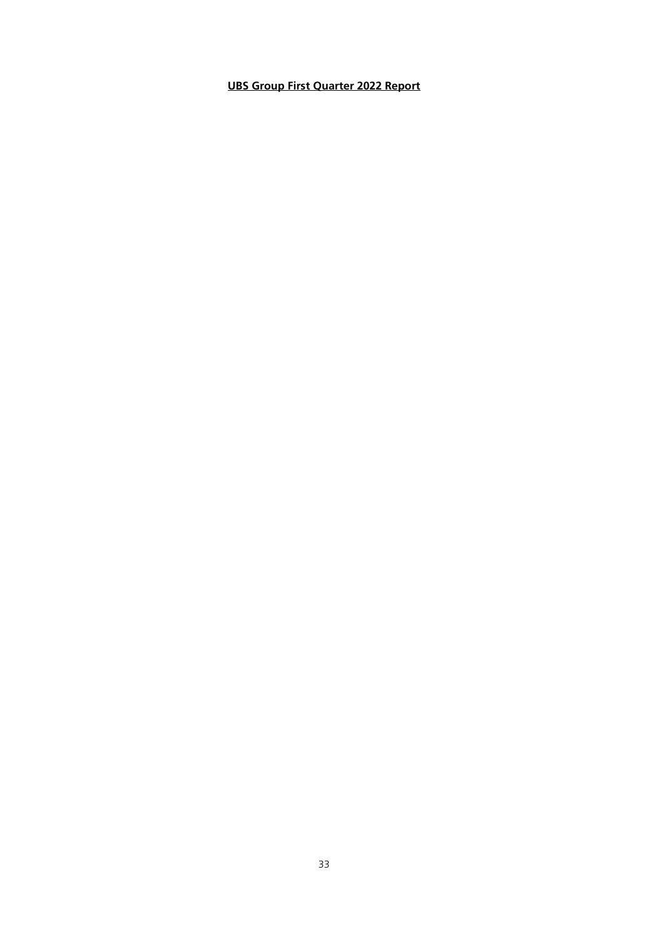# **UBS Group First Quarter 2022 Report**